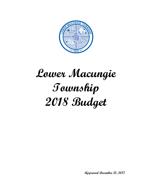

# **Lower Macungie Township 2018 Budget**

**Approved December 21, 2017**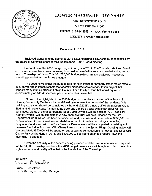

# **LOWER MACUNGIE TOWNSHIP**

3400 BROOKSIDE ROAD MACUNGIE, PA 18062 PHONE: 610-966-4343 • FAX: 610-965-3654 WEBSITE: www.lowermac.com

December 21, 2017

Enclosed please find the approved 2018 Lower Macungie Township Budget adopted by the Board of Commissioners at their December 21, 2017 Board meeting.

Preparation of the 2018 budget began in August of 2017. The Township staff and Board of Commissioners have been reviewing how best to provide the services needed and expected for our Township residents. This \$31,750,000 budget reflects an aggressive but necessary spending plan that accomplishes that goal.

The good news is that the budget calls for no increase for property tax or refuse rates. A 15% sewer rate increase reflects the federally mandated sewer rehabilitation project that impacts many municipalities in Lehigh County. For a family of four that would equate to approximately an \$11.40 increase per quarter in their sewer bill.

Some of the highlights of the 2018 budget include: the expansion of the Township Library, Community Center and an additional gym to meet the demand of the residents (this building expansion should be completed by the end of 2018); a new traffic light at Cedar Crest Blvd. and Minesite Road; A small dump truck and 2 pickup trucks with snow plows will be purchased; Lights at the upper parking lot at Camp Olympic will be installed; A 2<sup>nd</sup> dog park (Camp Olympic) will be completed; A new aerial fire truck will be purchased for the Fire Department; \$1.6 million has been set aside for land purchase and preservation; \$650,000 has been allocated for continued sewer rehabilitation work: A pedestrian bridge connecting Graymoor Subdivision with the Four Seasons Development will be completed: A walking trail between Brookside Road and Wild Cherry Lane as part of the Spring Ridge Crossing project will be completed, \$550,000 will be spent on street paving: construction of a new parking lot at Wild Cherry Park will be done in 2018, and \$300,000 will be spent on bridge repairs (township maintains 14 bridges)

Given the enormity of the services being provided and the level of commitment required for the 31,500 Township residents, the 2018 budget presents a well thought out plan to keep the high standards and quality of life that is the foundation of the Township.

Sincerely, Prince E Fosselman

**Bruce E. Fosselman** Lower Macungie Township Manager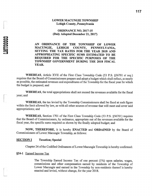# **LOWER MACUNGIE TOWNSHIP** Lehigh County, Pennsylvania

**ORDINANCE NO. 2017-15** (Duly Adopted December 21, 2017)

AN ORDINANCE OF THE TOWNSHIP OF LOWER **MACUNGIE, LEHIGH** COUNTY, PENNSYLVANIA, SETTING THE TAX RATES FOR THE YEAR 2018 AND APPROPRIATING SPECIFIC SUMS ESTIMATED TO BE REQUIRED FOR THE SPECIFIC PURPOSES OF THE TOWNSHIP GOVERNMENT DURING THE 2018 FISCAL YEAR.

WHEREAS, Article XVII of the First Class Township Code (53 P.S. §56701 et seq.) requires that the Board of Commissioners prepare and adopt a budget which shall reflect, as nearly as possible, the estimated revenues and expenditures of the Township for the fiscal year for which the budget is prepared; and

WHEREAS, the total appropriations shall not exceed the revenues available for the fiscal year; and

**WHEREAS**, the tax levied by the Township Commissioners shall be fixed at such figure within the limit allowed by law, as with all other sources of revenue that will meet and cover said appropriations; and

WHEREAS, Section 1701 of the First Class Township Code (53 P.S. §56701) requires that the Board of Commissioners, by ordinance, appropriate out of the revenues available for the fiscal year, the specific sums required as shown by the finally adopted budget; and

NOW, THEREFORE, it is hereby ENACTED and ORDAINED by the Board of Commissioners of Lower Macungie Township, as follows:

#### **SECTION I Taxation; Special**

Chapter 24 of the Codified Ordinances of Lower Macungie Township is hereby confirmed:

#### §24-1 Earned Income Tax

LMT0003

The Township Earned Income Tax of one percent (1%) upon salaries, wages, commissions and other compensation earned by residents of the Township of Lower Macungie and earned in the Township by non-residents thereof is hereby enacted and levied, without change, for the year 2018.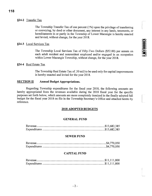# §24-2 Transfer Tax

The Township Transfer Tax of one percent (1%) upon the privilege of transferring or conveying, by deed or other document, any interest in any lands, tenements, or hereditaments in or partly in the Township of Lower Macungie is hereby enacted and levied, without change, for the year 2018.

## §24-3 Local Services Tax

The Township Local Services Tax of Fifty-Two Dollars (\$52.00) per annum on each adult resident and nonresident employed and/or engaged in an occupation within Lower Macungie Township, without change, for the year 2018.

## §24-4 Real Estate Tax

The Township Real Estate Tax of .50 mill to be used only for capital improvements is hereby enacted and levied for the year 2018.

#### **SECTION II Annual Budget Appropriations.**

Regarding Township expenditures for the fiscal year 2018, the following amounts are hereby appropriated from the revenues available during the 2018 fiscal year for the specific purposes set forth below, which amounts are more completely itemized in the finally adopted full budget for the fiscal year 2018 on file in the Township Secretary's Office and attached hereto by reference.

## **2018 ADOPTED BUDGETS**

## **GENERAL FUND**

## **SEWER FUND**

# **CAPITAL FUND**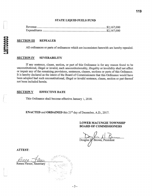## **STATE LIQUID FUELS FUND**

#### **SECTION III REPEALER**

All ordinances or parts of ordinances which are inconsistent herewith are hereby repealed.

#### **SECTION IV SEVERABILITY**

If any sentence, clause, section, or part of this Ordinance is for any reason found to be unconstitutional, illegal or invalid, such unconstitutionality, illegality or invalidity shall not affect or impair any of the remaining provisions, sentences, clauses, sections or parts of this Ordinance. It is hereby declared as the intent of the Board of Commissioners that this Ordinance would have been adopted had such unconstitutional, illegal or invalid sentence, clause, section or part thereof not been included herein.

#### **SECTION V EFFECTIVE DATE**

This Ordinance shall become effective January 1, 2018.

**ENACTED** and **ORDAINED** this 21<sup>st</sup> day of December, A.D., 2017.

## **LOWER MACUNGIE TOWNSHIP BOARD OF COMMISSIONERS**

Douglas H. Brown, President

**ATTEST:** 

Renea Flexer, Secretary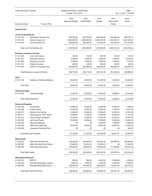|                                             | Lower Macungie Township<br>Budget Worksheet - 2018 Budget<br>Periods: 01/17-12/17 |                                |                               | Page: 1<br>Nov 14, 2017 12:01PM |                                |                |
|---------------------------------------------|-----------------------------------------------------------------------------------|--------------------------------|-------------------------------|---------------------------------|--------------------------------|----------------|
| <b>Account Number</b>                       | <b>Account Title</b>                                                              | 2018<br><b>Approved Budget</b> | 2018<br><b>Initial Budget</b> | 2017<br><b>Budget</b>           | 2017<br>Year to Date<br>Actual | 2016<br>Actual |
| <b>General Fund</b>                         |                                                                                   |                                |                               |                                 |                                |                |
|                                             |                                                                                   |                                |                               |                                 |                                |                |
| <b>Local Tax Enabling Act</b><br>01.310.100 | Real Estate Transfer Tax                                                          | 950,000.00                     | 950,000.00                    | 950,000.00                      | 545,086.58                     | 886,736.14     |
| 01.310.210                                  | Earned Income Tax                                                                 | 5,800,000.00                   | 5,800,000.00                  | 5,650,000.00                    | 4,618,872.31                   | 5,641,500.52   |
| 01.310.510                                  | <b>Local Services Tax</b>                                                         | 500,000.00                     | 500,000.00                    | 475,000.00                      | 445,765.63                     | 477,912.86     |
|                                             | Total Local Tax Enabling Act:                                                     | 7,250,000.00                   | 7,250,000.00                  | 7,075,000.00                    | 5,609,724.52                   | 7,006,149.52   |
| <b>Business Licenses &amp; Permits</b>      |                                                                                   |                                |                               |                                 |                                |                |
| 01.321.320                                  | Junk Yard License                                                                 | 210.00                         | 210.00                        | 200.00                          | 210.00                         | 210.00         |
| 01.321.601                                  | <b>Electrical Licenses</b>                                                        | 6,000.00                       | 6,000.00                      | 6,000.00                        | 5,405.00                       | 12,240.00      |
| 01.321.602                                  | <b>Plumbing Licenses</b>                                                          | 4,000.00                       | 4,000.00                      | 4,000.00                        | 3,240.00                       | 7,145.00       |
| 01.321.610                                  | Peddler Licenses                                                                  | 500.00                         | 500.00                        | 500.00                          | 529.00                         | 550.00         |
| 01.321.800                                  | Cable TV Franchise Fees                                                           | 545,000.00                     | 545,000.00                    | 525,000.00                      | 382,600.24                     | 502,681.00     |
|                                             | <b>Total Business Licenses &amp; Permits:</b>                                     | 555,710.00                     | 555,710.00                    | 535,700.00                      | 391,984.24                     | 522,826.00     |
| <b>Fines</b>                                |                                                                                   |                                |                               |                                 |                                |                |
| 01.331.120                                  | Violations- Ordinance/Statues                                                     | 18,000.00                      | 18,000.00                     | 20,000.00                       | 9,605.49                       | 25,246.81      |
| <b>Total Fines:</b>                         |                                                                                   | 18,000.00                      | 18,000.00                     | 20,000.00                       | 9,605.49                       | 25,246.81      |
| <b>Interest Earnings</b>                    |                                                                                   |                                |                               |                                 |                                |                |
| 01.341.000                                  | <b>Interest Earnings</b>                                                          | 10,000.00                      | 10,000.00                     | 10,000.00                       | 13,892.82                      | 43,442.66      |
|                                             | <b>Total Interest Earnings:</b>                                                   | 10,000.00                      | 10,000.00                     | 10,000.00                       | 13,892.82                      | 43,442.66      |
| <b>Rents and Royalties</b>                  |                                                                                   |                                |                               |                                 |                                |                |
| 01.342.100                                  | <b>Land Rental</b>                                                                | 12,800.00                      | 12,800.00                     | 12,800.00                       | 12,584.00                      | 1,258.40       |
| 01.342.206                                  | Kratzer House                                                                     | 12,000.00                      | 12,000.00                     | 12,000.00                       | 11,540.53                      | 12,812.40      |
| 01.342.207                                  | Schantz Farm Rental                                                               | 13,500.00                      | 13,500.00                     | 15,000.00                       | 13,636.50                      | 14,533.56      |
| 01.342.211                                  | Camp Olympic Farm House                                                           | 17,000.00                      | 17,000.00                     | 17,000.00                       | 16,006.00                      | 17,373.00      |
| 01.342.212                                  | Camp Olympic Bungalow                                                             | 12,000.00                      | 12,000.00                     | 12,000.00                       | 10,443.20                      | 13,873.92      |
| 01.342.530                                  | <b>Cell Tower Rental</b>                                                          | 15,000.00                      | 15,000.00                     | 15,000.00                       | 12,450.84                      | 15,436.22      |
| 01.342.540                                  | <b>Electronic Billboard</b>                                                       | .00                            | .00                           | 4,500.00                        | 3,666.63                       | 3,999.96       |
| 01.342.545                                  | Office Rent State Rep                                                             | 15,000.00                      | 15,000.00                     | 15,000.00                       | 12,500.00                      | 15,000.00      |
| 01.342.560                                  | <b>Emergency Electricity Plan</b>                                                 | .00                            | .00                           | .00                             | .00                            | 662.97         |
|                                             | <b>Total Rents and Royalties:</b>                                                 | 97,300.00                      | 97,300.00                     | 103,300.00                      | 92,827.70                      | 94,950.43      |
| <b>State Grants</b>                         |                                                                                   |                                |                               |                                 |                                |                |
| 01.354.020                                  | <b>State Aid Volunteer Fire</b>                                                   | 250,000.00                     | 250,000.00                    | 250,000.00                      | 225,809.33                     | 245,682.09     |
| 01.354.090                                  | <b>State Community Dev Grants</b>                                                 | 25,000.00                      | 25,000.00                     | 25,000.00                       | .00                            | 27,500.00      |
| 01.354.150                                  | <b>State Recycling Grants</b>                                                     | 130,000.00                     | 130,000.00                    | 130,000.00                      | 117,266.00                     | 160,272.00     |
|                                             |                                                                                   |                                |                               |                                 |                                |                |
| <b>Total State Grants:</b>                  |                                                                                   | 405,000.00                     | 405,000.00                    | 405,000.00                      | 343,075.33                     | 433,454.09     |
| <b>State Shared Revenue</b>                 |                                                                                   |                                |                               |                                 |                                |                |
| 01.355.010                                  | <b>PURTA</b>                                                                      | 600.00                         | 600.00                        | 8,000.00                        | 8,699.88                       | 9,158.48       |
| 01.355.040                                  | Alcoholic Beverages Licenses                                                      | 3,480.00                       | 3,480.00                      | 2,900.00                        | 4,850.00                       | 3,350.00       |
| 01.355.050                                  | Municipal State Aid Pension                                                       | 185,000.00                     | 185,000.00                    | 155,000.00                      | 178,941.88                     | 183,735.14     |
|                                             | Total State Shared Revenue:                                                       | 189,080.00                     | 189,080.00                    | 165,900.00                      | 192,491.76                     | 196,243.62     |
|                                             |                                                                                   |                                |                               |                                 |                                |                |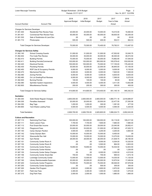| Lower Macungie Township               |                                       |                                | Budget Worksheet - 2018 Budget<br>Periods: 01/17-12/17 |                       |                                | Page:<br>$\overline{2}$<br>Nov 14, 2017 12:01PM |
|---------------------------------------|---------------------------------------|--------------------------------|--------------------------------------------------------|-----------------------|--------------------------------|-------------------------------------------------|
| <b>Account Number</b>                 | <b>Account Title</b>                  | 2018<br><b>Approved Budget</b> | 2018<br><b>Initial Budget</b>                          | 2017<br><b>Budget</b> | 2017<br>Year to Date<br>Actual | 2016<br>Actual                                  |
| <b>Charges for Services Developer</b> |                                       |                                |                                                        |                       |                                |                                                 |
| 01.361.400                            | <b>Residential Plan Review Fees</b>   | 20,000.00                      | 20,000.00                                              | 10,000.00             | 19,410.00                      | 19,460.00                                       |
| 01.361.401                            | <b>Commercial Plan Review Fees</b>    | 55,000.00                      | 55,000.00                                              | 60,000.00             | 58,830.00                      | 93,355.00                                       |
| 01.361.530                            | Sale of Subdivision & Land Dev        | .00                            | .00                                                    | .00                   | .00                            | 20.00                                           |
| 01.361.710                            | Photocopies                           | 500.00                         | 500.00                                                 | 400.00                | 552.51                         | 662.53                                          |
|                                       | Total Charges for Services Developer: | 75,500.00                      | 75,500.00                                              | 70,400.00             | 78,792.51                      | 113,497.53                                      |
| <b>Charges for Services Safety</b>    |                                       |                                |                                                        |                       |                                |                                                 |
| 01.362.140                            | <b>School Crossing Guards</b>         | 31,000.00                      | 31,000.00                                              | 31,000.00             | 47,552.82                      | 33,545.75                                       |
| 01.362.402                            | Fire Code Plan Review                 | 35,000.00                      | 35,000.00                                              | 30,000.00             | 38,300.00                      | 46,572.50                                       |
| 01.362.410                            | <b>Building Permits</b>               | 70,000.00                      | 70,000.00                                              | 40,000.00             | 70,892.90                      | 57,545.00                                       |
| 01.362.411                            | <b>Building Permits/Commercial</b>    | 120,000.00                     | 120,000.00                                             | 300,000.00            | 105,578.42                     | 532,630.90                                      |
| 01.362.420                            | <b>Electrical Permits</b>             | 100,000.00                     | 100,000.00                                             | 70,000.00             | 117,155.00                     | 176,420.00                                      |
| 01.362.430                            | <b>Plumbing Permits</b>               | 30,000.00                      | 30,000.00                                              | 22,000.00             | 36,845.00                      | 57,155.00                                       |
| 01.362.450                            | ROP Use & Occupancy Permits           | 6,000.00                       | 6,000.00                                               | 5.000.00              | 9,005.00                       | 6,130.00                                        |
| 01.362.470                            | <b>Mechanical Permits</b>             | 6,000.00                       | 6,000.00                                               | 6,000.00              | 7,620.00                       | 7,300.00                                        |
| 01.362.480                            | <b>Zoning Permits</b>                 | 6,000.00                       | 6,000.00                                               | 5,000.00              | 6,830.00                       | 8,630.00                                        |
| 01.362.490                            | On Lot Grading/Pool Reviews           | 6,000.00                       | 6,000.00                                               | 5,000.00              | 7,595.00                       | 5,270.00                                        |
| 01.362.500                            | <b>Burning Permits</b>                | 100.00                         | 100.00                                                 | 100.00                | 60.00                          | 90.00                                           |
| 01.362.580                            | <b>Sprinkler System Inspections</b>   | 4,500.00                       | 4,500.00                                               | 5,000.00              | 3,411.05                       | 13,602.88                                       |
| 01.362.600                            | <b>Miscellaneous Permits</b>          | 200.00                         | 200.00                                                 | 300.00                | 300.00                         | 450.00                                          |
|                                       | Total Charges for Services Safety:    | 414,800.00                     | 414,800.00                                             | 519,400.00            | 451,145.19                     | 945,342.03                                      |
| <b>Sanitation</b>                     |                                       |                                |                                                        |                       |                                |                                                 |
| 01.364.300                            | Solid Waste Regular Charges           | 2,600,000.00                   | 2,600,000.00                                           | 2,600,000.00          | 1,969,771.18                   | 2,618,689.97                                    |
| 01.364.305                            | <b>Penalties Assessed</b>             | 20,000.00                      | 20,000.00                                              | 20,000.00             | 22,477.55                      | 27,550.58                                       |
| 01.364.350                            | Bag Tags                              | 1,200.00                       | 1,200.00                                               | 300.00                | 1,381.00                       | 477.50                                          |
| 01.364.900                            | Yard Waste Loading Fees               | 5,500.00                       | 5,500.00                                               | 5,500.00              | 4,595.00                       | 5,325.00                                        |
| <b>Total Sanitation:</b>              |                                       | 2,626,700.00                   | 2,626,700.00                                           | 2,625,800.00          | 1,998,224.73                   | 2,652,043.05                                    |
| <b>Culture and Recreation</b>         |                                       |                                |                                                        |                       |                                |                                                 |
| 01.367.110                            | Swimming Pool Fees                    | 100,000.00                     | 100,000.00                                             | 108,000.00            | 93,119.00                      | 109,217.00                                      |
| 01.367.111                            | Swim Lesson Fees                      | 7,700.00                       | 7,700.00                                               | 7,800.00              | 7,680.00                       | 7,980.00                                        |
| 01.367.112                            | Pool Snack Bar Income                 | 20,000.00                      | 20,000.00                                              | 29,000.00             | 23,040.95                      | 29,952.41                                       |
| 01.367.120                            | <b>Playground Fees</b>                | 53,000.00                      | 53,000.00                                              | 51,000.00             | 47,590.00                      | 47,635.72                                       |
| 01.367.140                            | Camp Olympic Pavilion                 | 4,500.00                       | 4,500.00                                               | 4,200.00              | 4,200.00                       | 4,600.00                                        |
| 01.367.142                            | Camp Olympic Barn                     | 10,000.00                      | 10,000.00                                              | 15,000.00             | 8,450.00                       | .00                                             |
| 01.367.145                            | Wescosville Rec Hall                  | 15,000.00                      | 15,000.00                                              | 15,000.00             | 13,270.00                      | 15,635.00                                       |
| 01.367.150                            | <b>Gym Rental</b>                     | 28,000.00                      | 28,000.00                                              | 26,000.00             | 21,638.75                      | 28,180.00                                       |
| 01.367.151                            | Community Center Room A               | .00                            | .00                                                    | 9,000.00              | 6,304.00                       | 10,325.50                                       |
| 01.367.152                            | Community Center Room B               | .00                            | .00                                                    | 5,500.00              | 864.00                         | 2,853.00                                        |
| 01.367.153                            | <b>Community Center Rooms</b>         | 19,850.00                      | 19,850.00                                              | 15,000.00             | 16,534.50                      | 12,843.50                                       |
| 01.367.154                            | <b>Community Center Kitchen</b>       | .00                            | .00                                                    | .00                   | .00                            | 1,230.00                                        |
| 01.367.155                            | <b>Community Center Setup Charges</b> | .00                            | .00                                                    | 6,000.00              | 2,300.00                       | 4,515.00                                        |
| 01.367.156                            | <b>Community Center Snack Bar</b>     | 700.00                         | 700.00                                                 | 700.00                | 695.53                         | 1,073.18                                        |
| 01.367.157                            | Lockridge Community Center            | 13,500.00                      | 13,500.00                                              | 13,500.00             | 14,035.00                      | 11,125.00                                       |
| 01.367.160                            | Library Reimburseable Expenses        | 20,000.00                      | 20,000.00                                              | 20,000.00             | 10,975.54                      | 17,456.94                                       |
| 01.367.200                            | <b>Community Center Programs</b>      | 70,000.00                      | 70,000.00                                              | 70,000.00             | 69,546.00                      | 67,978.58                                       |
| 01.367.250                            | <b>Community Center Equipment</b>     | .00                            | .00                                                    | 500.00                | 305.00                         | 350.00                                          |
| 01.367.300                            | Garden Plot Program                   | 2,900.00                       | 2,900.00                                               | 2,800.00              | 2,870.00                       | 2,840.00                                        |
| 01.367.301                            | <b>Field Use Fees</b>                 | 3,300.00                       | 3,300.00                                               | 1,000.00              | 1,400.00                       | 1,075.00                                        |
| 01.367.315                            | Dog Park Fees                         | 2,000.00                       | 2,000.00                                               | 1,000.00              | 1,680.00                       | 1,960.00                                        |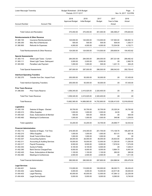| Lower Macungie Township              |                                             | Budget Worksheet - 2018 Budget<br>Periods: 01/17-12/17 |                               |                       | Page:<br>3<br>Nov 14, 2017 12:01PM |                |
|--------------------------------------|---------------------------------------------|--------------------------------------------------------|-------------------------------|-----------------------|------------------------------------|----------------|
| <b>Account Number</b>                | <b>Account Title</b>                        | 2018<br><b>Approved Budget</b>                         | 2018<br><b>Initial Budget</b> | 2017<br><b>Budget</b> | 2017<br>Year to Date<br>Actual     | 2016<br>Actual |
|                                      | <b>Total Culture and Recreation:</b>        | 370,450.00                                             | 370,450.00                    | 401,000.00            | 346,498.27                         | 378,825.83     |
|                                      | <b>Reimbursements &amp; Other Revenue</b>   |                                                        |                               |                       |                                    |                |
| 01.380.100                           | Insurance Reimbursements                    | 120,000.00                                             | 120,000.00                    | 110,000.00            | 137,583.00                         | 148,950.14     |
| 01.380.300                           | Misc Rev & Reimburse                        | 500.00                                                 | 500.00                        | 500.00                | 509.04-                            | 1,350.77       |
| 01.380.900                           | Refunds for Expenses                        | 4,000.00                                               | 4,000.00                      | 4,000.00              | 72,534.58                          | 4,152.71       |
|                                      | Total Reimbursements & Other Revenue:       | 124,500.00                                             | 124,500.00                    | 114,500.00            | 209,608.54                         | 154,453.62     |
| <b>Special Assessments</b>           |                                             |                                                        |                               |                       |                                    |                |
| 01.383.110                           | Street Light Taxes - Current                | 284,000.00                                             | 284,000.00                    | 284,000.00            | 287,321.68                         | 289,482.42     |
| 01.383.111                           | Street Light Taxes- Delinquent              | 2,000.00                                               | 2,000.00                      | 2,000.00              | .00                                | 2,982.76       |
| 01.383.500                           | Penalties Late Payment                      | 1,000.00                                               | 1,000.00                      | 500.00                | 1,221.15                           | 264.25         |
|                                      | <b>Total Special Assessments:</b>           | 287,000.00                                             | 287,000.00                    | 286,500.00            | 288,542.83                         | 292,729.43     |
| <b>Interfund Operating Transfers</b> |                                             |                                                        |                               |                       |                                    |                |
| 01.392.370                           | Transfer from Dev. Impact Fund              | 200,000.00                                             | 50,000.00                     | 50,000.00             | .00                                | 57,435.00      |
|                                      | <b>Total Interfund Operating Transfers:</b> | 200,000.00                                             | 50,000.00                     | 50,000.00             | .00                                | 57,435.00      |
| <b>Prior Years Revenue</b>           |                                             |                                                        |                               |                       |                                    |                |
| 01.396.000                           | <b>Prior Years Reserve</b>                  | 1,058,345.00                                           | 2,415,025.00                  | 2,320,400.00          | .00                                | .00            |
|                                      | <b>Total Prior Years Revenue:</b>           | 1,058,345.00                                           | 2,415,025.00                  | 2,320,400.00          | .00                                | .00            |
| Total Revenue:                       |                                             | 13,682,385.00                                          | 14,889,065.00                 | 14,702,900.00         | 10,026,413.93                      | 12,916,639.62  |
| Legislative                          |                                             |                                                        |                               |                       |                                    |                |
| 01.400.105                           | Salaries & Wages - Elected                  | 30,700.00                                              | 30,700.00                     | 30,700.00             | 25,325.24                          | 30,793.92      |
| 01.400.210                           | <b>Office Supplies</b>                      | 1,000.00                                               | 1,000.00                      | 1,000.00              | 24.55                              | .00            |
| 01.400.420                           | Dues, Subscriptions & Member                | 500.00                                                 | 500.00                        | 500.00                | .00                                | 500.00         |
| 01.400.460                           | Meetings & Conferences                      | 1,000.00                                               | 1,000.00                      | 1,500.00              | 349.98                             | 1,239.50       |
| Total Legislative:                   |                                             | 33,200.00                                              | 33,200.00                     | 33,700.00             | 25,699.77                          | 32,533.42      |
| <b>Financial Administration</b>      |                                             |                                                        |                               |                       |                                    |                |
| 01.402.112                           | Salaries & Wages - Full Time                | 218,300.00                                             | 218,300.00                    | 201,700.00            | 173,138.79                         | 195,287.58     |
| 01.402.210                           | <b>Office Supplies</b>                      | 1,000.00                                               | 1,000.00                      | 1,000.00              | 831.41                             | 823.16         |
| 01.402.260                           | Small Tools & Minor Equip                   | 1,000.00                                               | 1,000.00                      | 1,000.00              | .00                                | .00            |
| 01.402.307                           | <b>Accounting Systems</b>                   | 26,000.00                                              | 26,000.00                     | 46,000.00             | 25,833.00                          | 25,833.00      |
| 01.402.311                           | Accounting & Auditing Services              | 16,000.00                                              | 16,000.00                     | 12,000.00             | 11,250.00                          | 11,250.00      |
| 01.402.317                           | Payroll Processing                          | 8,500.00                                               | 8,500.00                      | 8,000.00              | 7,819.04                           | 7,274.95       |
| 01.402.353                           | Surety & Fidelity                           | 8,100.00                                               | 8,100.00                      | 6,500.00              | .00.                               | 7,248.31       |
| 01.402.390                           | <b>Bank Service Charges/Fees</b>            | 8,000.00                                               | 8,000.00                      | 8,000.00              | 5,864.70                           | 6,491.04       |
| 01.402.420                           | Dues, Subscriptions & Member                | 1,100.00                                               | 1,100.00                      | 1,100.00              | 260.00                             | 260.00         |
| 01.402.460                           | Meetings & Conferences                      | 2,500.00                                               | 2,500.00                      | 2,500.00              | .00.                               | 1,011.55       |
|                                      | <b>Total Financial Administration:</b>      | 290,500.00                                             | 290,500.00                    | 287,800.00            | 224,996.94                         | 255,479.59     |
| <b>Legal Services</b>                |                                             |                                                        |                               |                       |                                    |                |
| 01.404.401                           | Solicitor                                   | 110,000.00                                             | 110,000.00                    | 100,000.00            | 86,020.73                          | 95,434.43      |
| 01.404.402                           | <b>Labor Relations</b>                      | 5,000.00                                               | 5,000.00                      | 15,000.00             | 22,917.48                          | 30,635.93      |
| 01.404.403                           | Legal Planning                              | 40,000.00                                              | 40,000.00                     | 12,000.00             | 47,384.12                          | 22,235.59      |
| 01.404.404                           | Legal Zoning Board                          | 5,000.00                                               | 5,000.00                      | 9,000.00              | 6,590.00                           | 9,740.00       |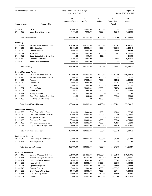| Lower Macungie Township                     |                                                             | Budget Worksheet - 2018 Budget<br>Periods: 01/17-12/17 |                               |                       | Page:<br>Nov 14, 2017 12:01PM  |                      |  |
|---------------------------------------------|-------------------------------------------------------------|--------------------------------------------------------|-------------------------------|-----------------------|--------------------------------|----------------------|--|
| <b>Account Number</b>                       | <b>Account Title</b>                                        | 2018<br><b>Approved Budget</b>                         | 2018<br><b>Initial Budget</b> | 2017<br><b>Budget</b> | 2017<br>Year to Date<br>Actual | 2016<br>Actual       |  |
| 01.404.405                                  | Litigation                                                  | 25,000.00                                              | 25,000.00                     | 25,000.00             | .00                            | 2,813.29             |  |
| 01.404.406                                  | Legal Zoning Enforcement                                    | 7,500.00                                               | 7,500.00                      | 6,000.00              | 15,108.15                      | 6,529.00             |  |
| <b>Total Legal Services:</b>                |                                                             | 192,500.00                                             | 192,500.00                    | 167,000.00            | 178,020.48                     | 167,388.24           |  |
| <b>Secretary</b>                            |                                                             |                                                        |                               |                       |                                |                      |  |
| 01.405.112                                  | Salaries & Wages - Full Time                                | 159,300.00                                             | 159,300.00                    | 148,000.00            | 128,905.43                     | 130,482.63           |  |
| 01.405.210                                  | <b>Office Supplies</b>                                      | 10,000.00                                              | 10,000.00                     | 10,000.00             | 7,528.09                       | 5,408.43             |  |
| 01.405.249                                  | <b>General Expense</b>                                      | 1,000.00                                               | 1,000.00                      | 1,000.00              | 488.66                         | 530.55               |  |
| 01.405.341                                  | Advertising                                                 | 8,000.00                                               | 8,000.00                      | 8,000.00              | 7,389.87                       | 8,201.08             |  |
| 01.405.420                                  | Dues, Subscriptions & Member                                | 500.00                                                 | 500.00                        | 500.00                | .00                            | 111.95               |  |
| 01.405.450<br>01.405.460                    | <b>Contracted Services</b><br>Meetings & Conferences        | 6,500.00<br>1,000.00                                   | 6,500.00<br>1,000.00          | 6,000.00<br>1,000.00  | 6,944.82<br>.00                | 6,719.26<br>70.00    |  |
|                                             |                                                             |                                                        |                               |                       |                                |                      |  |
| <b>Total Secretary:</b>                     |                                                             | 186,300.00                                             | 186,300.00                    | 174,500.00            | 151,256.87                     | 151,523.90           |  |
| <b>General Township Admin</b><br>01.406.112 | Salaries & Wages - Full Time                                | 126,800.00                                             | 126,800.00                    | 123,200.00            | 106,166.56                     | 120,923.24           |  |
| 01.406.115                                  | Salaries & Wages - Part Time                                | 5,000.00                                               | 5,000.00                      | 5,000.00              | .00.                           | 2,717.50             |  |
| 01.406.215                                  | Postage                                                     | 17,000.00                                              | 17,000.00                     | 17,000.00             | 11,514.82                      | 15,484.06            |  |
| 01.406.249                                  | General Expense                                             | 7,000.00                                               | 7,000.00                      | 7,000.00              | 5,562.67                       | 7,608.21             |  |
| 01.406.308                                  | Codification                                                | 5,000.00                                               | 5,000.00                      | 4,000.00              | 4,714.26                       | 3,077.00             |  |
| 01.406.321                                  | Phone & Data                                                | 25,600.00                                              | 25,600.00                     | 27,500.00             | 23,314.79                      | 25,944.01            |  |
| 01.406.324                                  | Mobile Phones                                               | 800.00                                                 | 800.00                        | 1,100.00              | 601.51                         | 657.15               |  |
| 01.406.391                                  | Notary Expenses                                             | 800.00                                                 | 800.00                        | 100.00                | .00                            | .00                  |  |
| 01.406.420                                  | Dues, Subscriptions & Member                                | 500.00                                                 | 500.00                        | 1,300.00              | 1,379.60                       | 960.00               |  |
| 01.406.460                                  | Meetings & Conferences                                      | .00                                                    | .00                           | 2,500.00              | .00                            | 331.96               |  |
|                                             | Total General Township Admin:                               | 188,500.00                                             | 188,500.00                    | 188,700.00            | 153,254.21                     | 177,703.13           |  |
| <b>Information Technology</b>               |                                                             |                                                        |                               |                       |                                |                      |  |
| 01.407.260                                  | Small Tools & Minor Equip                                   | 1,000.00                                               | 1,000.00                      | 1,000.00              | 174.39                         | 272.57               |  |
| 01.407.270                                  | Computer Hardware, Software                                 | 19,000.00                                              | 19,000.00                     | 16,000.00             | 15,232.80                      | 3,674.60             |  |
| 01.407.374                                  | <b>Equipment Repairs</b>                                    | 1,000.00                                               | 1,000.00                      | 1,000.00              | 108.54                         | 236.50               |  |
| 01.407.450                                  | <b>Contracted Services</b>                                  | 38,000.00                                              | 38,000.00                     | 23,000.00             | 18,236.00                      | 16,745.00            |  |
| 01.407.453                                  | Web Design/Maintenance                                      | 16,000.00                                              | 16,000.00                     | 10,000.00             | 401.25                         | 502.50               |  |
| 01.407.613                                  | Capital-Office/ IT Equipment                                | 52,000.00                                              | 52,000.00                     | 60,000.00             | 18,229.74                      | 49,576.53            |  |
|                                             | Total Information Technology:                               | 127,000.00                                             | 127,000.00                    | 111,000.00            | 52,382.72                      | 71,007.70            |  |
| <b>Engineering Services</b>                 |                                                             |                                                        |                               |                       |                                |                      |  |
| 01.408.313                                  | Engineering & Architectural                                 | 80,000.00                                              | 140,000.00                    | 140,000.00            | 29,576.05                      | 74,258.51            |  |
| 01.408.325                                  | Traffic System Plan                                         | 70,000.00                                              | .00                           | .00                   | .00                            | .00                  |  |
|                                             | <b>Total Engineering Services:</b>                          | 150,000.00                                             | 140,000.00                    | 140,000.00            | 29,576.05                      | 74,258.51            |  |
| <b>Buildings &amp; Facilities</b>           |                                                             |                                                        |                               |                       |                                |                      |  |
| 01.409.112                                  | Salaries & Wages - Full Time                                | 281,600.00                                             | 281,600.00                    | 262,600.00            | 220,594.15                     | 273,850.19           |  |
| 01.409.115                                  | Salaries & Wages - Part Time                                | 19,000.00                                              | 31,200.00                     | 12,400.00             | 1,369.50                       | 8,140.91             |  |
| 01.409.191                                  | Uniform & Safety Apparel                                    | 4,500.00                                               | 4,500.00                      | 4,000.00              | 2,660.49                       | 3,697.00             |  |
| 01.409.230                                  | <b>Heating Fuel</b>                                         | 30,000.00                                              | 35,000.00                     | 30,000.00             | 6,928.03                       | 6,189.90             |  |
| 01.409.241                                  | <b>Operating Supplies</b>                                   | 20,000.00                                              | 20,000.00                     | 20,000.00             | 12,485.96                      | 18,762.45            |  |
| 01.409.249<br>01.409.260                    | General Expense                                             | 3,500.00<br>14,000.00                                  | 3,500.00                      | 3,500.00<br>7,500.00  | 4,905.97                       | 2,423.42<br>7,633.73 |  |
| 01.409.318                                  | Small Tools & Minor Equip<br><b>Alarm/Security Services</b> | 22,000.00                                              | 14,000.00<br>22,000.00        | 18,500.00             | 3,807.41<br>7,756.00           | 7,613.50             |  |
| 01.409.361                                  | Electricity                                                 | 35,000.00                                              | 35,000.00                     | 35,000.00             | 26,838.80                      | 36,025.24            |  |
|                                             |                                                             |                                                        |                               |                       |                                |                      |  |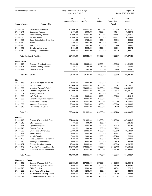| Lower Macungie Township     |                                                      |                                | Budget Worksheet - 2018 Budget<br>Periods: 01/17-12/17 |                        |                                | Page:<br>5<br>Nov 14, 2017 12:01PM |
|-----------------------------|------------------------------------------------------|--------------------------------|--------------------------------------------------------|------------------------|--------------------------------|------------------------------------|
| <b>Account Number</b>       | <b>Account Title</b>                                 | 2018<br><b>Approved Budget</b> | 2018<br><b>Initial Budget</b>                          | 2017<br><b>Budget</b>  | 2017<br>Year to Date<br>Actual | 2016<br>Actual                     |
| 01.409.372                  | Repairs & Maintenance                                | 165,000.00                     | 165,000.00                                             | 165,000.00             | 125,637.34                     | 145,622.71                         |
| 01.409.374                  | <b>Equipment Repairs</b>                             | 6,500.00                       | 6,500.00                                               | 6,500.00               | 5,740.41                       | 3,028.18                           |
| 01.409.375                  | <b>Rental Property Repairs</b>                       | 10,000.00                      | 10,000.00                                              | 10,000.00              | 2,768.67                       | 12,718.23                          |
| 01.409.378                  | Vehicle Repairs                                      | 10,000.00                      | 10,000.00                                              | 10,000.00              | 15,792.77                      | 4,664.44                           |
| 01.409.420                  | Dues, Subscriptions & Member                         | 950.00                         | 1,750.00                                               | 1,750.00               | 580.00                         | 410.00                             |
| 01.409.430                  | Taxes                                                | 2,500.00                       | 2,500.00                                               | 2,500.00               | 2,461.77                       | 2,423.85                           |
| 01.409.440                  | Pest Control                                         | 5,000.00                       | 5,000.00                                               | 3,000.00               | 1,562.00                       | 2,344.42                           |
| 01.409.449                  | <b>Elevator Maintenance</b>                          | 5,000.00                       | 9,500.00                                               | 9,500.00               | 4,360.01                       | 431.72-                            |
| 01.409.460                  | Meetings & Conferences                               | 3,000.00                       | 3,000.00                                               | 3,000.00               | 1,149.29                       | 2,558.12                           |
|                             | Total Buildings & Facilities:                        | 637,550.00                     | 660,050.00                                             | 604,750.00             | 447,398.57                     | 537,674.57                         |
| <b>Public Safety</b>        |                                                      |                                |                                                        |                        |                                |                                    |
| 01.410.115                  | Salaries - Crossing Guards                           | 64,000.00                      | 64,000.00                                              | 62,500.00              | 53,985.90                      | 61,819.70                          |
| 01.410.191                  | Uniform & Saftey Apparel                             | 250.00                         | 250.00                                                 | 250.00                 | .00                            | 250.00                             |
| 01.410.249                  | General Expense                                      | 500.00                         | 500.00                                                 | 300.00                 | 582.40                         | 415.81                             |
| <b>Total Public Safety:</b> |                                                      | 64,750.00                      | 64,750.00                                              | 63,050.00              | 54,568.30                      | 62,485.51                          |
| Fire                        |                                                      |                                |                                                        |                        |                                |                                    |
| 01.411.115                  | Salaries & Wages - Part Time                         | 1,000.00                       | 1,000.00                                               | 1,000.00               | .00.                           | .00                                |
| 01.411.363                  | <b>Hydrant Rental</b>                                | 160,000.00                     | 160,000.00                                             | 152,000.00             | 77,655.07                      | 154,704.15                         |
| 01.411.500                  | <b>Volunteer Fireman's Relief</b>                    | 250,000.00                     | 250,000.00                                             | 250,000.00             | 225,809.33                     | 245,682.09                         |
| 01.411.501                  | Lower Macungie Fire Co                               | 100,000.00                     | 100,000.00                                             | 100,000.00             | 63,255.72                      | 102,701.22                         |
| 01.411.502                  | Macungie Fire Co                                     | .00                            | .00                                                    | 6,500.00               | .00                            | .00                                |
| 01.411.503                  | <b>LMT Fire Police</b>                               | 5,000.00                       | 5,000.00                                               | 5,000.00               | 2,561.90                       | 4,416.45                           |
| 01.411.505                  | Lower Macungie Fire Incentive                        | 40,000.00                      | 40,000.00                                              | 35,000.00              | .00                            | 35,000.00                          |
| 01.411.506<br>01.411.507    | <b>Alburtis Fire Company</b>                         | 15,000.00<br>25,000.00         | 20,000.00<br>25,000.00                                 | 20,000.00<br>25,000.00 | 20,000.00<br>25,000.00         | 10,000.00<br>25,000.00             |
| 01.411.510                  | Macungie Ambulance<br><b>Brandywine Fire Station</b> | 30,000.00                      | 30,000.00                                              | 30,000.00              | 14,212.56                      | 18,429.65                          |
| <b>Total Fire:</b>          |                                                      | 626,000.00                     | 631,000.00                                             | 624,500.00             | 428,494.58                     | 595,933.56                         |
| <b>Permits</b>              |                                                      |                                |                                                        |                        |                                |                                    |
| 01.413.112                  | Salaries & Wages - Full Time                         | 201,600.00                     | 201,600.00                                             | 213,600.00             | 178,468.32                     | 207,935.45                         |
| 01.413.210                  | <b>Office Supplies</b>                               | 500.00                         | 500.00                                                 | 500.00                 | .00                            | 1,335.00                           |
| 01.413.241                  | <b>Operating Supplies</b>                            | 1,500.00                       | 1,500.00                                               | 1,500.00               | 2,356.18                       | 317.90                             |
| 01.413.249                  | General Expense                                      | 500.00                         | 500.00                                                 | 300.00                 | 517.39                         | .00                                |
| 01.413.260                  | Small Tools & Minor Equip                            | 20,000.00                      | 20,000.00                                              | 31,000.00              | 12,638.59                      | 18,536.31                          |
| 01.413.324                  | Mobile Phones                                        | 1,000.00                       | 1,000.00                                               | 1,000.00               | 844.57                         | 1,023.03                           |
| 01.413.378                  | <b>Vehicle Repairs</b>                               | 3,000.00                       | 3,000.00                                               | 2,000.00               | 3,294.04                       | 988.90                             |
| 01.413.420                  | Dues, Subscriptions & Member                         | 1,500.00                       | 1,500.00                                               | 1,500.00               | 445.00                         | 1,043.29                           |
| 01.413.460                  | Meetings & Conferences                               | 3,000.00                       | 3,000.00                                               | 4,000.00               | 2,076.26                       | 1,491.58                           |
| 01.413.471                  | Alternate Building Inspector                         | 10,000.00                      | 10,000.00                                              | 12,000.00              | 5,159.28                       | 16,302.50                          |
| 01.413.473                  | Alternate Commercial Inspector                       | 170,000.00                     | 170,000.00                                             | 150,000.00             | 226,007.08                     | 467,505.75                         |
| 01.413.474                  | Alternate Commercial Plan Rev                        | 30,000.00                      | 30,000.00                                              | 30,000.00              | 26,460.00                      | 58,482.50                          |
| <b>Total Permits:</b>       |                                                      | 442,600.00                     | 442,600.00                                             | 447,400.00             | 458,266.71                     | 774,962.21                         |
| <b>Planning and Zoning</b>  |                                                      |                                |                                                        |                        |                                |                                    |
| 01.414.112                  | Salaries & Wages - Full Time                         | 269,900.00                     | 267,300.00                                             | 257,600.00             | 201,563.30                     | 182,983.16                         |
| 01.414.115                  | Salaries & Wages - Part Time                         | 8,000.00                       | 8,000.00                                               | 8,000.00               | 5,189.00                       | 6,530.50                           |
| 01.414.210                  | <b>Office Supplies</b>                               | 1,500.00                       | 1,500.00                                               | 1,000.00               | 416.02                         | 923.15                             |
| 01.414.260                  | Small Tools & Minor Equip                            | 1,200.00                       | 1,200.00                                               | 500.00                 | 32.36                          | 440.06                             |
| 01.414.305                  | <b>Environmental Advisory Council</b>                | 3,000.00                       | 3,000.00                                               | 3,000.00               | 250.00                         | 1,233.58                           |
| 01.414.312                  | Engineer-On Lot Grading/Pools                        | 7,500.00                       | 7,500.00                                               | 5,000.00               | 8,535.89                       | 5,755.00                           |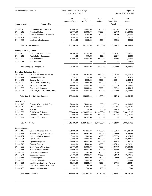| Lower Macungie Township                            |                                              |                                | Budget Worksheet - 2018 Budget<br>Periods: 01/17-12/17 |                       |                                | Page:<br>6<br>Nov 14, 2017 12:01PM |
|----------------------------------------------------|----------------------------------------------|--------------------------------|--------------------------------------------------------|-----------------------|--------------------------------|------------------------------------|
| <b>Account Number</b>                              | <b>Account Title</b>                         | 2018<br><b>Approved Budget</b> | 2018<br><b>Initial Budget</b>                          | 2017<br><b>Budget</b> | 2017<br>Year to Date<br>Actual | 2016<br>Actual                     |
| 01.414.313                                         | Engineering & Architectural                  | 20,000.00                      | 20,000.00                                              | 18,000.00             | 15,766.05                      | 20,074.89                          |
| 01.414.319                                         | <b>Planning Studies</b>                      | 85,000.00                      | 85,000.00                                              | 50,000.00             | 36,227.53                      | 25,230.87                          |
| 01.414.420                                         | Dues, Subscriptions & Member                 | 1,200.00                       | 1,200.00                                               | 2,000.00              | 1,712.00                       | 1,211.00                           |
| 01.414.454                                         | Stenographer                                 | 1,500.00                       | 1,500.00                                               | 1,000.00              | 1,508.75                       | 1,687.50                           |
| 01.414.460                                         | Meetings & Conferences                       | 1,500.00                       | 1,500.00                                               | 1,500.00              | 1,643.85                       | 439.96                             |
|                                                    | Total Planning and Zoning:                   | 400,300.00                     | 397,700.00                                             | 347,600.00            | 272,844.75                     | 246,509.67                         |
| <b>Emergency Management</b>                        |                                              |                                |                                                        |                       |                                |                                    |
| 01.415.260                                         | Small Tools & Minor Equip                    | 12,500.00                      | 12,500.00                                              | 12,500.00             | 4,628.05                       | 17,031.25                          |
| 01.415.315                                         | <b>Public Safety Commission</b>              | 600.00                         | 600.00                                                 | 500.00                | 205.00                         | 356.57                             |
| 01.415.320                                         | <b>Auto Notification</b>                     | 10,000.00                      | 10,000.00                                              | 20,000.00             | 15,151.91                      | 7,250.90                           |
| 01.415.321                                         | Phone & Data                                 | .00                            | .00                                                    | .00                   | .00                            | 1,884.27                           |
|                                                    | <b>Total Emergency Management:</b>           | 23,100.00                      | 23,100.00                                              | 33,000.00             | 19,984.96                      | 26,522.99                          |
| <b>Recycling Collection Disposal</b><br>01.426.115 | Salaries & Wages - Part Time                 |                                |                                                        | 32,500.00             | 24,242.81                      | 25,264.75                          |
| 01.426.241                                         | <b>Operating Supplies</b>                    | 33,750.00<br>750.00            | 33,750.00<br>750.00                                    | 750.00                | 820.71                         | 174.10                             |
| 01.426.249                                         | <b>General Expense</b>                       | 5,000.00                       | 5,000.00                                               | 5,000.00              | 2.295.11                       | 2,436.10                           |
| 01.426.260                                         | Small Tools & Minor Equip                    | 3,500.00                       | 3,500.00                                               | 3,500.00              | 258.77                         | 515.54                             |
| 01.426.310                                         | Recycling Consulant                          | 21,000.00                      | 21,000.00                                              | 21,000.00             | 18,066.50                      | 20,663.00                          |
| 01.426.372                                         | Repairs & Maintenance                        | 10,000.00                      | 10,000.00                                              | 7,500.00              | 12,597.44                      | 8,459.15                           |
| 01.426.384                                         | <b>ELM Recycling Equipment Rental</b>        | 35,000.00                      | 35,000.00                                              | 40,000.00             | 13,831.09                      | 35,048.88                          |
|                                                    | <b>Total Recycling Collection Disposal:</b>  | 109,000.00                     | 109,000.00                                             | 110,250.00            | 72,112.43                      | 92,561.52                          |
| <b>Solid Waste</b>                                 |                                              |                                |                                                        |                       |                                |                                    |
| 01.427.112                                         | Salaries & Wages - Full Time                 | 24,000.00                      | 24,000.00                                              | 21,600.00             | 18,593.14                      | 20,195.85                          |
| 01.427.210                                         | <b>Office Supplies</b>                       | 15,000.00                      | 15,000.00                                              | 15,000.00             | 10,367.37                      | 11,225.13                          |
| 01.427.215                                         | Postage                                      | 250.00                         | 250.00                                                 | 200.00                | 111.28                         | 217.35                             |
| 01.427.367                                         | Solid Waste Collection                       | 2,200,000.00                   | 2,200,000.00                                           | 2,200,000.00          | 2,012,085.89                   | 2,186,271.68                       |
| 01.427.446                                         | <b>Contracted Leaf Collection</b>            | 88,000.00                      | 88,000.00                                              | 88,000.00             | 29,182.33                      | 87,546.99                          |
| 01.427.447                                         | <b>Curbside Yard Waste</b>                   | 13,200.00                      | 13,200.00                                              | 13,200.00             | .00                            | .00                                |
| Total Solid Waste:                                 |                                              | 2,340,450.00                   | 2,340,450.00                                           | 2,338,000.00          | 2,070,340.01                   | 2,305,457.00                       |
| Roads - General                                    |                                              |                                |                                                        |                       |                                |                                    |
| 01.430.112                                         | Salaries & Wages - Full Time                 | 761,800.00                     | 761,800.00                                             | 710,000.00            | 572,961.71                     | 587,421.01                         |
| 01.430.115                                         | Salaries & Wages - Part Time                 | 25,050.00                      | 25,050.00                                              | 12,400.00             | 4,235.00                       | 9,250.56                           |
| 01.430.191                                         | Uniform & Safety Apparel                     | 8,500.00                       | 8,500.00                                               | 8,000.00              | 6,075.73                       | 6,074.95                           |
| 01.430.231                                         | Vehicle Fuel                                 | 90,000.00<br>25,000.00         | 90,000.00                                              | 90,000.00             | 57,970.56                      | 52,437.43                          |
| 01.430.241<br>01.430.249                           | <b>Operating Supplies</b>                    | 4,500.00                       | 25,000.00<br>4,500.00                                  | 25,000.00<br>4,500.00 | 17,755.28                      | 18,447.39<br>4,282.91              |
| 01.430.260                                         | General Expense<br>Small Tools & Minor Equip | 35,000.00                      | 35,000.00                                              | 40,000.00             | 4,184.12<br>22,477.50          | 23,805.50                          |
| 01.430.371                                         | <b>Street Tree Maintenance</b>               | 45,000.00                      | 45,000.00                                              | 45,000.00             | 26,327.00                      | 37,558.50                          |
| 01.430.372                                         | Repairs & Maintenance                        | 6,500.00                       | 6,500.00                                               | 6,500.00              | 345.00                         | 1,359.60                           |
| 01.430.374                                         | <b>Equipment Repairs</b>                     | 67,500.00                      | 67,500.00                                              | 87,500.00             | 51,817.43                      | 118,174.47                         |
| 01.430.378                                         | <b>Vehicle Repairs</b>                       | 6,500.00                       | 6,500.00                                               | 6,500.00              | 5,035.69                       | 14,180.91                          |
| 01.430.379                                         | <b>Emergency Repairs</b>                     | 26,000.00                      | 26,000.00                                              | 26,000.00             | .00                            | 2,918.42                           |
| 01.430.384                                         | Machinery & Equipment Rentals                | 15,250.00                      | 15,250.00                                              | 15,250.00             | 8,677.55                       | 14,236.31                          |
| 01.430.420                                         | Dues, Subscriptions & Member                 | 200.00                         | 200.00                                                 | 200.00                | .00                            | .00                                |
| 01.430.460                                         | Meetings & Conferences                       | 750.00                         | 750.00                                                 | 750.00                | .00                            | 50.00                              |
|                                                    | Total Roads - General:                       | 1,117,550.00                   | 1,117,550.00                                           | 1,077,600.00          | 777,862.57                     | 890,197.96                         |
|                                                    |                                              |                                |                                                        |                       |                                |                                    |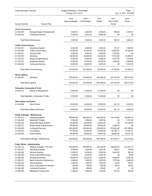| Lower Macungie Township                      |                                       | Budget Worksheet - 2018 Budget<br>Periods: 01/17-12/17 |                               |                       | Page: 7<br>Nov 14, 2017 12:01PM |                |  |
|----------------------------------------------|---------------------------------------|--------------------------------------------------------|-------------------------------|-----------------------|---------------------------------|----------------|--|
| <b>Account Number</b>                        | <b>Account Title</b>                  | 2018<br><b>Approved Budget</b>                         | 2018<br><b>Initial Budget</b> | 2017<br><b>Budget</b> | 2017<br>Year to Date<br>Actual  | 2016<br>Actual |  |
| <b>Winter Maintenance</b>                    |                                       |                                                        |                               |                       |                                 |                |  |
| 01.432.255                                   | Damage Repair & Replacement           | 2,500.00                                               | 2,500.00                      | 2,500.00              | 994.39                          | 4,920.57       |  |
| 01.432.450                                   | <b>Contracted Services</b>            | 5,000.00                                               | 5,000.00                      | 5,000.00              | .00                             | .00            |  |
|                                              | Total Winter Maintenance:             | 7,500.00                                               | 7,500.00                      | 7,500.00              | 994.39                          | 4,920.57       |  |
| <b>Traffic Control Devices</b>               |                                       |                                                        |                               |                       |                                 |                |  |
| 01.433.241                                   | <b>Operating Supplies</b>             | 5,000.00                                               | 5,000.00                      | 5,000.00              | 411.27                          | 1,425.00       |  |
| 01.433.245                                   | <b>Traffic &amp; Street Signs</b>     | 27,500.00                                              | 27,500.00                     | 27,500.00             | 15,502.00                       | 27,002.03      |  |
| 01.433.321                                   | Phone & Data                          | 5,000.00                                               | 5,000.00                      | 5,500.00              | 3,579.85                        | .00            |  |
| 01.433.361                                   | Electricity                           | 26,000.00                                              | 26,000.00                     | 23,000.00             | 17,674.99                       | 16,489.31      |  |
| 01.433.372                                   | Repairs & Maintenance                 | 8,000.00                                               | 8,000.00                      | 8,000.00              | 3,077.83                        | 3,218.04       |  |
| 01.433.374                                   | <b>Equipment Repairs</b>              | 17,500.00                                              | 17,500.00                     | 17,500.00             | 1,549.96                        | 8,290.08       |  |
| 01.433.450                                   | <b>Contracted Services</b>            | 12,000.00                                              | 12,000.00                     | 9,000.00              | .00                             | 11,030.70      |  |
|                                              | <b>Total Traffic Control Devices:</b> | 101,000.00                                             | 101,000.00                    | 95,500.00             | 41,795.90                       | 67,455.16      |  |
| <b>Street Lighting</b><br>01.434.361         | Electricity                           | 275,000.00                                             | 275,000.00                    | 287,000.00            | 231,573.29                      | 283,115.63     |  |
| Total Street Lighting:                       |                                       | 275,000.00                                             | 275,000.00                    | 287,000.00            | 231,573.29                      | 283,115.63     |  |
|                                              |                                       |                                                        |                               |                       |                                 |                |  |
| Sidewalks, Crosswalks & Trails<br>01.435.372 | Repairs & Maintenance                 | 11,000.00                                              | 11,000.00                     | 11,000.00             | .00                             | .00.           |  |
|                                              | Total Sidewalks, Crosswalks & Trails: | 11,000.00                                              | 11,000.00                     | 11,000.00             | .00                             | .00.           |  |
| <b>Storm Sewer and Drains</b>                |                                       |                                                        |                               |                       |                                 |                |  |
| 01.436.366                                   | <b>Storm Drains</b>                   | 10,000.00                                              | 10,000.00                     | 10,000.00             | 441.16                          | 8,638.25       |  |
|                                              | Total Storm Sewer and Drains:         | 10,000.00                                              | 10,000.00                     | 10,000.00             | 441.16                          | 8,638.25       |  |
| Roads & Bridges - Maintenance                |                                       |                                                        |                               |                       |                                 |                |  |
| 01.438.241                                   | <b>Operating Supplies</b>             | 300,000.00                                             | 300,000.00                    | 200,000.00            | 120,176.85                      | 138,991.42     |  |
| 01.438.258                                   | Materials & Freight                   | 2,000.00                                               | 2,000.00                      | 2,000.00              | .00                             | 1,477.26       |  |
| 01.438.376                                   | Guide Rail Repair & Maint             | 25,000.00                                              | 25,000.00                     | 25,000.00             | .00                             | 27,318.08      |  |
| 01.438.377                                   | Bridge Repair & Maintenance           | 85,000.00                                              | 85,000.00                     | 85,000.00             | 3,444.25                        | .00            |  |
| 01.438.450                                   | <b>Contracted Services</b>            | 350,000.00                                             | 350,000.00                    | 325,000.00            | 270,834.08                      | 347,385.92     |  |
| 01.438.455                                   | Line Striping                         | 75,000.00                                              | 75,000.00                     | 75,000.00             | 66,186.11                       | 31,933.91      |  |
| 01.438.456                                   | <b>Crack Sealing</b>                  | 95,000.00                                              | 95,000.00                     | 95,000.00             | 96,888.82                       | 65,371.80      |  |
|                                              | Total Roads & Bridges - Maintenance:  | 932,000.00                                             | 932,000.00                    | 807,000.00            | 557,530.11                      | 612,478.39     |  |
| <b>Public Works - Administration</b>         |                                       |                                                        |                               |                       |                                 |                |  |
| 01.440.112                                   | Salaries & Wages - Full Time          | 204,600.00                                             | 204,600.00                    | 228,700.00            | 186,035.79                      | 213,021.77     |  |
| 01.440.241                                   | <b>Operating Supplies</b>             | 2,000.00                                               | 2,000.00                      | 2,000.00              | 146.32                          | 125.03         |  |
| 01.440.249                                   | <b>General Expense</b>                | 5,500.00                                               | 5,500.00                      | 5,000.00              | 3,924.92                        | 960.35         |  |
| 01.440.260                                   | Small Tools & Minor Equip             | 4,500.00                                               | 4,500.00                      | 4,500.00              | .00                             | 99.96          |  |
| 01.440.324                                   | Wireless Equipment                    | 16,000.00                                              | 16,000.00                     | 8,250.00              | 9,289.07                        | 6,452.65       |  |
| 01.440.327                                   | Radio Equipment Maintenance           | 5,000.00                                               | 5,000.00                      | 5,000.00              | 1,275.68                        | 5,446.66       |  |
| 01.440.378                                   | <b>Vehicle Repairs</b>                | 1,000.00                                               | 1,000.00                      | 1,000.00              | 46.62                           | 759.51         |  |
| 01.440.420                                   | Dues, Subscriptions & Member          | 200.00                                                 | 200.00                        | 200.00                | 40.00                           | 185.00         |  |
| 01.440.450                                   | <b>Contracted Services</b>            | 500.00                                                 | 500.00                        | 500.00                | .00                             | .00            |  |
| 01.440.460                                   | Meetings & Conferences                | 1,500.00                                               | 1,500.00                      | 1,500.00              | 519.20                          | 852.08         |  |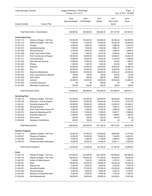| Lower Macungie Township     |                                      | Budget Worksheet - 2018 Budget<br>Periods: 01/17-12/17 | Page:<br>8<br>Nov 14, 2017 12:02PM |                       |                                |                |
|-----------------------------|--------------------------------------|--------------------------------------------------------|------------------------------------|-----------------------|--------------------------------|----------------|
| <b>Account Number</b>       | <b>Account Title</b>                 | 2018<br><b>Approved Budget</b>                         | 2018<br>Initial Budget             | 2017<br><b>Budget</b> | 2017<br>Year to Date<br>Actual | 2016<br>Actual |
|                             | Total Public Works - Administration: | 240,800.00                                             | 240,800.00                         | 256,650.00            | 201,277.60                     | 227,903.01     |
| <b>Community Center</b>     |                                      |                                                        |                                    |                       |                                |                |
| 01.451.112                  | Salaries & Wages - Full Time         | 137,200.00                                             | 133,600.00                         | 123,800.00            | 95,266.22                      | 103,657.85     |
| 01.451.115                  | Salaries & Wages - Part Time         | 71,000.00                                              | 71,000.00                          | 73,000.00             | 55,229.34                      | 62,965.63      |
| 01.451.215                  | Postage                              | 8,000.00                                               | 8,000.00                           | 8,000.00              | 4,890.92                       | 6,914.43       |
| 01.451.241                  | <b>Operating Supplies</b>            | 7,500.00                                               | 7,500.00                           | 7,500.00              | 5,668.12                       | 8,725.77       |
| 01.451.249                  | <b>General Expense</b>               | 2,000.00                                               | 2,000.00                           | 2,000.00              | 2,586.34                       | 3,688.00       |
| 01.451.260                  | Small Tools & Minor Equip            | 7,400.00                                               | 7,400.00                           | 8,310.00              | 8,066.03                       | 7,642.49       |
| 01.451.310                  | Prof. Svs/Intructor & Program        | 55,000.00                                              | 55,000.00                          | 55,000.00             | 45,086.20                      | 45,044.79      |
| 01.451.311                  | <b>Community Days</b>                | 10,000.00                                              | 10,000.00                          | 9,000.00              | 8,130.29                       | 7,999.60       |
| 01.451.318                  | <b>Alarm/Security Services</b>       | 17,600.00                                              | 17,600.00                          | 2,600.00              | 816.00                         | 1,765.57       |
| 01.451.342                  | Printing                             | 1,000.00                                               | 1,000.00                           | 1,000.00              | 932.64                         | 169.57         |
| 01.451.361                  | Electricity                          | 40,000.00                                              | 40,000.00                          | 42,000.00             | 32,024.83                      | 37,660.79      |
| 01.451.362                  | Gas                                  | 25,000.00                                              | 25,000.00                          | 25,000.00             | 18,859.00                      | 21,503.37      |
| 01.451.372                  | Repairs & Maintenance                | 60,000.00                                              | 60,000.00                          | 59,090.00             | 27,853.42                      | 52,305.44      |
| 01.451.420                  | Dues, Subscriptions & Member         | 160.00                                                 | 160.00                             | 100.00                | 160.00                         | 125.90         |
| 01.451.440                  | Pest Control                         | 600.00                                                 | 600.00                             | 600.00                | 348.00                         | 522.00         |
| 01.451.445                  | Janitoral                            | 30,000.00                                              | 30,000.00                          | 30,000.00             | 25,903.00                      | 24,564.91      |
| 01.451.450                  | <b>Contracted Services</b>           | .00                                                    | .00                                | 900.00                | .00                            | .00            |
| 01.451.460                  | Meetings & Conferences               | 500.00                                                 | 500.00                             | 500.00                | 168.00                         | 359.00         |
|                             | <b>Total Community Center:</b>       | 472,960.00                                             | 469,360.00                         | 448,400.00            | 331,988.35                     | 385,615.11     |
| <b>Swimming Pool</b>        |                                      |                                                        |                                    |                       |                                |                |
| 01.452.115                  | Salaries & Wages - Part Time         | 133,000.00                                             | 133,000.00                         | 128,000.00            | 98,440.68                      | 89,404.64      |
| 01.452.229                  | Snack Bar - Food & Supplies          | 20,000.00                                              | 20,000.00                          | 20,000.00             | 15,379.93                      | 17,517.39      |
| 01.452.241                  | <b>Operating Supplies PW</b>         | 20,000.00                                              | 20,000.00                          | 18,500.00             | 23,228.35                      | 23,399.21      |
| 01.452.249                  | General Expense                      | 12,000.00                                              | 12,000.00                          | 12,000.00             | 7,928.31                       | 10,189.15      |
| 01.452.260                  | Small Tools & Minor Equip PW         | 3,000.00                                               | 3,000.00                           | 3,000.00              | 2,860.00                       | 1,662.36       |
| 01.452.372                  | Repairs & Maintenance PW             | 17,500.00                                              | 17,500.00                          | 17,500.00             | 9,022.71                       | 17,698.94      |
| 01.452.430                  | Snack Bar Sales Tax                  | 2,000.00                                               | 2,000.00                           | 2,000.00              | 1,368.64                       | 1,805.25       |
| 01.452.440                  | Pest Control                         | 500.00                                                 | 500.00                             | 500.00                | 545.00                         | 531.00         |
| 01.452.460                  | Meetings & Conferences               | 200.00                                                 | 200.00                             | 200.00                | $.00\,$                        | .00            |
| <b>Total Swimming Pool:</b> |                                      | 208,200.00                                             | 208,200.00                         | 201,700.00            | 158,773.62                     | 162,207.94     |
| <b>Summer Programs</b>      |                                      |                                                        |                                    |                       |                                |                |
| 01.453.115                  | Salaries & Wages - Part Time         | 57,000.00                                              | 57,000.00                          | 52,000.00             | 39,654.86                      | 37,779.02      |
| 01.453.247                  | <b>Playground Supplies</b>           | 12,000.00                                              | 12,000.00                          | 12,000.00             | 7,445.56                       | 10,650.55      |
| 01.453.249                  | <b>General Expense</b>               | 4,000.00                                               | 4,000.00                           | 4,100.00              | 3,806.42                       | 1,628.46       |
| 01.453.310                  | Professional Services/Program        | 14,000.00                                              | 14,000.00                          | 14,000.00             | 10,861.11                      | 13,938.84      |
|                             | <b>Total Summer Programs:</b>        | 87,000.00                                              | 87,000.00                          | 82,100.00             | 61,767.95                      | 63,996.87      |
| Parks                       |                                      |                                                        |                                    |                       |                                |                |
| 01.454.112                  | Salaries & Wages - Full Time         | 472,500.00                                             | 472,500.00                         | 452,100.00            | 316,956.54                     | 385,956.99     |
| 01.454.115                  | Salaries & Wages - Part Time         | 106,400.00                                             | 106,400.00                         | 87,100.00             | 76,646.25                      | 58,545.00      |
| 01.454.191                  | Uniform & Safety Apparel             | 7,500.00                                               | 7,500.00                           | 6,500.00              | 4,575.47                       | 5,063.14       |
| 01.454.221                  | Mulch                                | 25,000.00                                              | 25,000.00                          | 25,000.00             | 24,934.00                      | 23,536.00      |
| 01.454.230                  | <b>Heating Fuel</b>                  | 9,000.00                                               | 9,000.00                           | 9,000.00              | 3,465.62                       | 4,726.78       |
| 01.454.241                  | <b>Operating Supplies</b>            | 27,500.00                                              | 27,500.00                          | 27,500.00             | 20,435.48                      | 23,992.66      |
| 01.454.249                  | <b>General Expense</b>               | 6,000.00                                               | 6,000.00                           | 6,000.00              | 5,093.76                       | 5,748.97       |
| 01.454.253                  | Machinery & Equipment Parts          | 6,000.00                                               | 6,000.00                           | 6,000.00              | 1,723.63                       | 5,362.25       |
| 01.454.254                  | Park Replacements                    | 36,500.00                                              | 36,500.00                          | 36,500.00             | 20,435.23                      | 14,675.50      |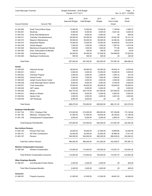| Lower Macungie Township        | Budget Worksheet - 2018 Budget<br>Periods: 01/17-12/17 |                                |                               | Page:<br>9<br>Nov 14, 2017 12:02PM |                                |                |
|--------------------------------|--------------------------------------------------------|--------------------------------|-------------------------------|------------------------------------|--------------------------------|----------------|
| <b>Account Number</b>          | <b>Account Title</b>                                   | 2018<br><b>Approved Budget</b> | 2018<br><b>Initial Budget</b> | 2017<br><b>Budget</b>              | 2017<br>Year to Date<br>Actual | 2016<br>Actual |
| 01.454.260                     | Small Tools & Minor Equip                              | 12,500.00                      | 12,500.00                     | 12,500.00                          | 7,156.98                       | 4,366.74       |
| 01.454.361                     | Electricity                                            | 8,000.00                       | 8,000.00                      | 8,000.00                           | 8,521.82                       | 8,920.03       |
| 01.454.370                     | Pump Park Maintenance                                  | 6,000.00                       | 6,000.00                      | 6,000.00                           | .00                            | 829.00         |
| 01.454.371                     | <b>Township Tree Maintenance</b>                       | 65,000.00                      | 65,000.00                     | 65,000.00                          | 43,061.98                      | 32,141.19      |
| 01.454.372                     | Repairs & Maintenance                                  | 55,000.00                      | 55,000.00                     | 55,000.00                          | 44,360.64                      | 33,929.92      |
| 01.454.374                     | <b>Equipment Repairs</b>                               | 15,000.00                      | 15,000.00                     | 15,000.00                          | 16,494.06                      | 19,218.42      |
| 01.454.378                     | Vehicle Repairs                                        | 7,500.00                       | 7,500.00                      | 7,500.00                           | 7,367.54                       | 4,075.28       |
| 01.454.384                     | Machinery & Equipment Rentals                          | 1,000.00                       | 1,000.00                      | 1,000.00                           | 771.68                         | 428.45         |
| 01.454.420                     | Dues, Subscriptions & Member                           | 300.00                         | 300.00                        | 300.00                             | 100.00                         | 20.00          |
| 01.454.450                     | <b>Contracted Services</b>                             | 90,000.00                      | 90,000.00                     | 97,000.00                          | 104,986.68                     | 67,625.00      |
| 01.454.460                     | Meetings & Conferences                                 | 500.00                         | 500.00                        | 500.00                             | .00                            | 325.00         |
| <b>Total Parks:</b>            |                                                        | 957,200.00                     | 957,200.00                    | 923,500.00                         | 707,087.36                     | 699,486.32     |
| Grants                         |                                                        |                                |                               |                                    |                                |                |
| 01.459.520                     | <b>Historical Society</b>                              | 29,200.00                      | 89,580.00                     | 60,000.00                          | 50,054.16                      | 9.576.94       |
| 01.459.521                     | <b>CACLV</b>                                           | 5,000.00                       | 5,000.00                      | 10,000.00                          | 10,000.00                      | 5,000.00       |
| 01.459.523                     | <b>Volunteer Projects</b>                              | 2,000.00                       | 2,000.00                      | 2,000.00                           | 1,055.16                       | 241.04         |
| 01.459.524                     | <b>Animal Control</b>                                  | 7,000.00                       | 7,000.00                      | 7,000.00                           | 7,000.00                       | 7,000.00       |
| 01.459.525                     | Lehigh County Senior Center                            | 4,000.00                       | 4,000.00                      | 4,000.00                           | 4,000.00                       | 4,000.00       |
| 01.459.526                     | Lower Macungie Senior Citizens                         | 9,000.00                       | 9,000.00                      | 9,000.00                           | 6,750.00                       | 9,000.00       |
| 01.459.527                     | Youth Association                                      | 75,000.00                      | 80,000.00                     | 60,000.00                          | 52,940.00                      | 55,900.00      |
| 01.459.528                     | <b>LMT Lazers</b>                                      | 6,000.00                       | 6,000.00                      | 6,000.00                           | .00                            | 8,000.00       |
| 01.459.530                     | Library                                                | 532,775.00                     | 532,775.00                    | 527,500.00                         | 527,500.00                     | 515,000.00     |
| 01.459.531                     | Meals on Wheels                                        | 6,500.00                       | 6,500.00                      | 6,000.00                           | 6,000.00                       | 6,000.00       |
| 01.459.532                     | Garden Club                                            | 4,000.00                       | 4,000.00                      | 4,000.00                           | 2,821.93                       | 3,654.95       |
| 01.459.534                     | <b>LMT Mustangs</b>                                    | 8,000.00                       | 8,000.00                      | .00                                | .00                            | .00            |
| <b>Total Grants:</b>           |                                                        | 688,475.00                     | 753,855.00                    | 695,500.00                         | 668,121.25                     | 623,372.93     |
| <b>Employer Paid Beneftis</b>  |                                                        |                                |                               |                                    |                                |                |
| 01.481.192                     | FICA - Employer Paid                                   | 215,000.00                     | 215,000.00                    | 206,000.00                         | 167,326.88                     | 174,149.46     |
| 01.481.193                     | Medicare - Employer Paid                               | 51,000.00                      | 51,000.00                     | 49,000.00                          | 39,180.82                      | 41,180.58      |
| 01.481.194                     | Unemployment Compensation                              | 9,000.00                       | 9,000.00                      | 9,000.00                           | 6,959.78                       | 7,953.24       |
|                                | <b>Total Employer Paid Beneftis:</b>                   | 275,000.00                     | 275,000.00                    | 264,000.00                         | 213,467.48                     | 223,283.28     |
| <b>Non Uniform Pension</b>     |                                                        |                                |                               |                                    |                                |                |
| 01.483.150                     | Pension Plan Fees                                      | 30,000.00                      | 30,000.00                     | 27,000.00                          | 19,659.69                      | 30,426.09      |
| 01.483.151                     | 457 Plan Contributions                                 | 42,000.00                      | 42,000.00                     | 22,000.00                          | 26,568.38                      | 17,071.40      |
| 01.483.197                     | Pension                                                | 394,000.00                     | 394,000.00                    | 382,000.00                         | 286,200.00                     | 350,490.23     |
|                                | Total Non Uniform Pension:                             | 466,000.00                     | 466,000.00                    | 431,000.00                         | 332,428.07                     | 397,987.72     |
|                                | <b>Workers Compensation Insurance</b>                  |                                |                               |                                    |                                |                |
| 01.484.354                     | <b>Workers Compensation</b>                            | 115,000.00                     | 115,000.00                    | 100,000.00                         | 115,057.75                     | 216,552.38     |
|                                | Total Workers Compensation Insurance:                  | 115,000.00                     | 115,000.00                    | 100,000.00                         | 115,057.75                     | 216,552.38     |
| <b>Other Employee Benefits</b> |                                                        |                                |                               |                                    |                                |                |
| 01.485.301                     | <b>Cont Education/Tuition Reimb</b>                    | 2,400.00                       | 2,400.00                      | 2,400.00                           | .00                            | 840.00         |
|                                | Total Other Employee Benefits:                         | 2,400.00                       | 2,400.00                      | 2,400.00                           | .00                            | 840.00         |
| Insurance<br>01.486.351        | Property Insurance                                     | 41,000.00                      | 41,000.00                     | 41,000.00                          | 48,601.00                      | 46,028.00      |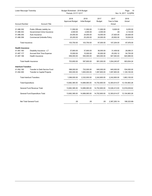| Lower Macungie Township    |                                      | Budget Worksheet - 2018 Budget<br>Periods: 01/17-12/17 |                               |                       |                                | Page:<br>10<br>Nov 14, 2017 12:02PM |  |
|----------------------------|--------------------------------------|--------------------------------------------------------|-------------------------------|-----------------------|--------------------------------|-------------------------------------|--|
| <b>Account Number</b>      | <b>Account Title</b>                 | 2018<br><b>Approved Budget</b>                         | 2018<br><b>Initial Budget</b> | 2017<br><b>Budget</b> | 2017<br>Year to Date<br>Actual | 2016<br>Actual                      |  |
| 01.486.352                 | Public Officials Liability Ins       | 11,550.00                                              | 11,550.00                     | 11,000.00             | 9,826.00                       | 9,255.00                            |  |
| 01.486.353                 | Governmmet Crime Insurance           | 2,000.00                                               | 2,000.00                      | 2,000.00              | .00.                           | 2,133.00                            |  |
| 01.486.355                 | Auto Insurance                       | 24,000.00                                              | 24,000.00                     | 19,000.00             | 27,925.00                      | 20,626.00                           |  |
| 01.486.356                 | Commercial Umbrella Policy           | 25,200.00                                              | 25,200.00                     | 24,000.00             | 20,852.00                      | 19,934.00                           |  |
| Total Insurance:           |                                      | 103,750.00                                             | 103,750.00                    | 97,000.00             | 107,204.00                     | 97,976.00                           |  |
| <b>Health Insurance</b>    |                                      |                                                        |                               |                       |                                |                                     |  |
| 01.487.160                 | Disability Insurance - LT            | 37,800.00                                              | 37,800.00                     | 36,000.00             | 31,409.92                      | 28,089.31                           |  |
| 01.487.177                 | <b>Accrued Sick Time Expense</b>     | 10,000.00                                              | 10,000.00                     | 30,000.00             | 25,252.12                      | 54,755.00                           |  |
| 01.487.196                 | <b>Health Insurance</b>              | 656,000.00                                             | 550,000.00                    | 925,000.00            | 947,583.83                     | 820,989.93                          |  |
|                            | Total Health Insurance:              |                                                        | 597,800.00                    | 991,000.00            | 1,004,245.87                   | 903,834.24                          |  |
| <b>Interfund Transfers</b> |                                      |                                                        |                               |                       |                                |                                     |  |
| 01.492.190                 | <b>Transfer to Debt Service Fund</b> | 596,000.00                                             | 732,000.00                    | 645,000.00            | 645,000.00                     | 534,000.00                          |  |
| 01.492.300                 | <b>Transfer to Capital Projects</b>  | 500,000.00                                             | 1,600,000.00                  | 1,597,800.00          | 1,597,800.00                   | 1,129,100.00                        |  |
|                            | <b>Total Interfund Transfers:</b>    | 1,096,000.00                                           | 2,332,000.00                  | 2,242,800.00          | 2,242,800.00                   | 1,663,100.00                        |  |
| Total Expenditure:         |                                      | 13,682,385.00                                          | 14,889,065.00                 | 14,702,900.00         | 12,393,614.07                  | 13,104,963.28                       |  |
|                            | <b>General Fund Revenue Total:</b>   | 13,682,385.00                                          | 14,889,065.00                 | 14,702,900.00         | 10,026,413.93                  | 12,916,639.62                       |  |
|                            | General Fund Expenditure Total:      | 13,682,385.00                                          | 14,889,065.00                 | 14,702,900.00         | 12,393,614.07                  | 13,104,963.28                       |  |
|                            | Net Total General Fund:              | .00                                                    | .00                           | .00                   | 2,367,200.14-                  | 188,323.66-                         |  |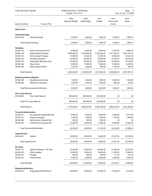|                                        | Lower Macungie Township<br>Budget Worksheet - 2018 Budget<br>Periods: 01/17-12/17 |                                | Page:<br>-11<br>Nov 14, 2017 12:02PM |                |                                |                |
|----------------------------------------|-----------------------------------------------------------------------------------|--------------------------------|--------------------------------------|----------------|--------------------------------|----------------|
| <b>Account Number</b>                  | <b>Account Title</b>                                                              | 2018<br><b>Approved Budget</b> | 2018<br><b>Initial Budget</b>        | 2017<br>Budget | 2017<br>Year to Date<br>Actual | 2016<br>Actual |
| <b>Sewer Fund</b>                      |                                                                                   |                                |                                      |                |                                |                |
|                                        |                                                                                   |                                |                                      |                |                                |                |
| <b>Interest Earnings</b><br>08.341.000 | <b>Interest Earnings</b>                                                          | 2,000.00                       | 2,000.00                             | 1,800.00       | 3,326.79                       | 1,860.19       |
|                                        | <b>Total Interest Earnings:</b>                                                   | 2,000.00                       | 2,000.00                             | 1,800.00       | 3,326.79                       | 1,860.19       |
| <b>Sanitation</b>                      |                                                                                   |                                |                                      |                |                                |                |
| 08.364.110                             | <b>Sewer Connection Permit</b>                                                    | 6,000.00                       | 6,000.00                             | 8,000.00       | 6,344.00                       | 9,650.00       |
| 08.364.120                             | Sewer Regular Charges                                                             | 4,300,000.00                   | 4,100,000.00                         | 3,720,000.00   | 2,771,384.97                   | 3,261,572.78   |
| 08.364.121                             | <b>Extra Strength Charges</b>                                                     | 21,000.00                      | 21,000.00                            | 21,500.00      | 18,630.85                      | 24,221.49      |
| 08.364.125                             | <b>Penalties Assessed</b>                                                         | 25,000.00                      | 25,000.00                            | 30,000.00      | 20,162.32                      | 28,675.99      |
| 08.364.130                             | <b>Wastewater Allocation Fees</b>                                                 | 24,000.00                      | 24,000.00                            | 24,000.00      | 20,280.40                      | 53,156.50      |
| 08.364.140                             | <b>Sewer Certs</b>                                                                | 8,000.00                       | 8,000.00                             | 8,000.00       | 9,390.00                       | 9,385.00       |
| 08.364.150                             | Septic System Permit                                                              | 1,200.00                       | 1,200.00                             | 800.00         | 2,100.00                       | 900.00         |
| <b>Total Sanitation:</b>               |                                                                                   | 4,385,200.00                   | 4,185,200.00                         | 3,812,300.00   | 2,848,292.54                   | 3,387,561.76   |
| <b>Reimbursements &amp; Refunds</b>    |                                                                                   |                                |                                      |                |                                |                |
| 08.380.300                             | Miscellaneous Revenue                                                             | 1,000.00                       | 1,000.00                             | 1,000.00       | 3,600.00                       | 1,200.00       |
| 08.380.900                             | <b>Refunds for Expenses</b>                                                       | 1,000.00                       | 1,000.00                             | 1,000.00       | 946.39-                        | 442.54         |
|                                        | Total Reimbursements & Refunds:                                                   | 2,000.00                       | 2,000.00                             | 2,000.00       | 2,653.61                       | 1,642.54       |
| <b>Prior Years Reserve</b>             |                                                                                   |                                |                                      |                |                                |                |
| 08.396.000                             | <b>Prior Years Reserve</b>                                                        | 380,850.00                     | 505,850.00                           | 670,000.00     | .00                            | .00            |
|                                        | <b>Total Prior Years Reserve:</b>                                                 | 380,850.00                     | 505,850.00                           | 670,000.00     | .00                            | .00            |
| Total Revenue:                         |                                                                                   | 4,770,050.00                   | 4,695,050.00                         | 4,486,100.00   | 2,854,272.94                   | 3,391,064.49   |
| <b>Financial Administration</b>        |                                                                                   |                                |                                      |                |                                |                |
| 08.402.311                             | <b>Accounting &amp; Auditing Services</b>                                         | 8,000.00                       | 8,000.00                             | 8,000.00       | 8.000.00                       | 9,217.98       |
| 08.402.317                             | <b>Payroll Processing</b>                                                         | 1,500.00                       | 1,500.00                             | 1,500.00       | 1,125.00                       | 1,200.00       |
| 08.402.390                             | <b>Bank Service Charges/Fees</b>                                                  | 500.00                         | 500.00                               | 1,000.00       | .00                            | .00            |
| 08.402.391                             | <b>Credit Card Processing Fee</b>                                                 | 12,000.00                      | 12,000.00                            | 11,250.00      | 13,408.90                      | 12,242.35      |
|                                        | <b>Total Financial Administration:</b>                                            | 22,000.00                      | 22,000.00                            | 21,750.00      | 22,533.90                      | 22,660.33      |
| <b>Legal Services</b>                  |                                                                                   |                                |                                      |                |                                |                |
| 08.404.401                             | Solicitor                                                                         | 20,000.00                      | 20,000.00                            | 15,000.00      | 21,027.64                      | 30,189.53      |
| <b>Total Legal Services:</b>           |                                                                                   | 20,000.00                      | 20,000.00                            | 15,000.00      | 21,027.64                      | 30,189.53      |
| <b>Secretary</b>                       |                                                                                   |                                |                                      |                |                                |                |
| 08.405.112                             | Salaries & Wages - Full Time                                                      | 97,900.00                      | 97,900.00                            | 56,900.00      | 51,390.69                      | 53,763.63      |
| 08.405.210                             | <b>Office Supplies</b>                                                            | 15,000.00                      | 15,000.00                            | 15,600.00      | 11,700.00                      | 15,600.00      |
| 08.405.215                             | Postage                                                                           | 500.00                         | 500.00                               | 500.00         | 111.32                         | 217.35         |
| 08.405.321                             | Phone & Data                                                                      | 6,000.00                       | 6,000.00                             | 6,000.00       | 4,500.00                       | 6,000.00       |
| Total Secretary:                       |                                                                                   | 119,400.00                     | 119,400.00                           | 79,000.00      | 67,702.01                      | 75,580.98      |
| <b>Engineering Services</b>            |                                                                                   |                                |                                      |                |                                |                |
| 08.408.313                             | Engineering & Architectural                                                       | 35,000.00                      | 35,000.00                            | 45,000.00      | 14,053.69                      | 6,722.40       |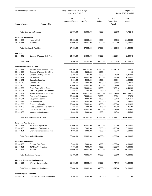| Lower Macungie Township               |                                       | Budget Worksheet - 2018 Budget<br>Periods: 01/17-12/17 |                               |                |                                | Page:<br>12<br>Nov 14, 2017 12:02PM |
|---------------------------------------|---------------------------------------|--------------------------------------------------------|-------------------------------|----------------|--------------------------------|-------------------------------------|
| <b>Account Number</b>                 | <b>Account Title</b>                  | 2018<br><b>Approved Budget</b>                         | 2018<br><b>Initial Budget</b> | 2017<br>Budget | 2017<br>Year to Date<br>Actual | 2016<br>Actual                      |
|                                       | <b>Total Engineering Services:</b>    | 35,000.00                                              | 35,000.00                     | 45,000.00      | 14,053.69                      | 6,722.40                            |
|                                       |                                       |                                                        |                               |                |                                |                                     |
| <b>Buildings &amp; Facilities</b>     |                                       |                                                        |                               |                |                                |                                     |
| 08.409.230                            | <b>Heating Fuel</b>                   | 15,000.00                                              | 15,000.00                     | 15,000.00      | 11,250.00                      | 20,000.00                           |
| 08.409.361                            | Electricity                           | 12,000.00                                              | 12,000.00                     | 12,000.00      | 9,000.00                       | 11,000.00                           |
|                                       | Total Buildings & Facilities:         | 27,000.00                                              | 27,000.00                     | 27,000.00      | 20,250.00                      | 31,000.00                           |
| <b>Permits</b>                        |                                       |                                                        |                               |                |                                |                                     |
| 08.413.112                            | Salaries & Wages - Full Time          | 51,500.00                                              | 51,500.00                     | 50,000.00      | 42,309.34                      | 42,390.16                           |
| <b>Total Permits:</b>                 |                                       | 51,500.00                                              | 51,500.00                     | 50,000.00      | 42,309.34                      | 42,390.16                           |
| <b>Wastewater Collect &amp; Treat</b> |                                       |                                                        |                               |                |                                |                                     |
| 08.429.112                            | Salaries & Wages - Full Time          | 344,100.00                                             | 344,100.00                    | 324,800.00     | 248,810.38                     | 272,240.78                          |
| 08.429.115                            | Salaries & Wages - Part Time          | 6,200.00                                               | 6,200.00                      | 6.200.00       | .00                            | .00                                 |
| 08.429.191                            | Uniform & Safety Apparel              | 5,400.00                                               | 5,400.00                      | 4,900.00       | 3,248.80                       | 3,410.08                            |
| 08.429.231                            | Vehicle Fuel                          | 18,000.00                                              | 18,000.00                     | 16,500.00      | 12,375.00                      | 16,500.00                           |
| 08.429.241                            | <b>Operating Supplies</b>             | 3,500.00                                               | 3,500.00                      | 3,500.00       | 3,386.01                       | 5,296.57                            |
| 08.429.249                            | General Expense                       | 2,500.00                                               | 2,500.00                      | 2,500.00       | 657.62                         | 1,630.30                            |
| 08.429.256                            | <b>Sewer Risers</b>                   | 20,000.00                                              | 20,000.00                     | 20,000.00      | 12,699.60                      | 2,895.58                            |
| 08.429.260                            | Small Tools & Minor Equip             | 25,000.00                                              | 25,000.00                     | 25,000.00      | 7,103.10                       | 3,401.88                            |
| 08.429.327                            | Radio Equipment Maintenance           | 250.00                                                 | 250.00                        | 250.00         | .00                            | .00                                 |
| 08.429.364                            | Sewer Treatment & Transport           | 2,500,000.00                                           | 2,500,000.00                  | 2,400,000.00   | 2,052,044.54                   | 1,097,206.24                        |
| 08.429.372                            | Repairs & Maintenance                 | 75,000.00                                              | 75,000.00                     | 75,000.00      | 30,976.91                      | 379.70                              |
| 08.429.374                            | <b>Equipment Repairs</b>              | 7,500.00                                               | 7,500.00                      | 7,500.00       | 3,867.13                       | 5,756.74                            |
| 08.429.378                            | <b>Vehicle Repairs</b>                | 3,500.00                                               | 3,500.00                      | 3,500.00       | 505.80                         | 3,586.05                            |
| 08.429.379                            | <b>Emergency Repairs</b>              | 25,000.00                                              | 25,000.00                     | 25,000.00      | 25,782.43                      | 13,116.90                           |
| 08.429.420                            | Dues, Subscriptions & Member          | 500.00                                                 | 500.00                        | 500.00         | 170.00                         | 165.00                              |
| 08.429.450                            | <b>Contracted Services</b>            | 30,000.00                                              | 30,000.00                     | 30,000.00      | 18,648.40                      | 19,929.80                           |
| 08.429.460                            | Meetings & Conferences                | 1,000.00                                               | 1,000.00                      | 1,000.00       | 140.00                         | 1,165.00                            |
|                                       | Total Wastewater Collect & Treat:     | 3,067,450.00                                           | 3,067,450.00                  | 2,946,150.00   | 2,420,415.72                   | 1,446,680.62                        |
| <b>Employer Paid Benefits</b>         |                                       |                                                        |                               |                |                                |                                     |
| 08.481.192                            | FICA - Employer Paid                  | 30,000.00                                              | 30,000.00                     | 30,000.00      | 22,500.00                      | 30,000.00                           |
| 08.481.193                            | Medicare - Employer Paid              | 7,000.00                                               | 7,000.00                      | 7,000.00       | 5,250.00                       | 7,000.00                            |
| 08.481.194                            | Unemployment Compensation             | 1,000.00                                               | 1,000.00                      | 1,000.00       | 750.00                         | 1,000.00                            |
|                                       | <b>Total Employer Paid Benefits:</b>  | 38,000.00                                              | 38,000.00                     | 38,000.00      | 28,500.00                      | 38,000.00                           |
| <b>Non Uniform Pension</b>            |                                       |                                                        |                               |                |                                |                                     |
| 08.483.150                            | <b>Pension Plan Fees</b>              | 6,000.00                                               | 6,000.00                      | 6,000.00       | 4,500.00                       | 10,000.00                           |
| 08.483.151                            | 457 Plan Contributions                | 7,500.00                                               | 7,500.00                      | 3,000.00       | 2,250.00                       | 3,000.00                            |
| 08.483.197                            | Pension                               | 66,000.00                                              | 66,000.00                     | 54,000.00      | 40,500.00                      | 60,000.00                           |
|                                       | Total Non Uniform Pension:            | 79,500.00                                              | 79,500.00                     | 63,000.00      | 47,250.00                      | 73,000.00                           |
|                                       | <b>Workers Compensation Insurance</b> |                                                        |                               |                |                                |                                     |
| 08.484.354                            | <b>Workers Compensation</b>           | 90,000.00                                              | 90,000.00                     | 85,000.00      | 63,747.00                      | 75,000.00                           |
|                                       | Total Workers Compensation Insurance: | 90,000.00                                              | 90,000.00                     | 85,000.00      | 63,747.00                      | 75,000.00                           |
| <b>Other Employee Benefits</b>        |                                       |                                                        |                               |                |                                |                                     |
| 08.485.301                            | <b>Cont Ed/Tuition Reimbursement</b>  | 1,200.00                                               | 1,200.00                      | 1,200.00       | .00                            | .00                                 |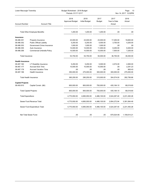| Lower Macungie Township |                                   | Budget Worksheet - 2018 Budget<br>Periods: 01/17-12/17 |                               |                       | Page:<br>13<br>Nov 14, 2017 12:02PM |                |
|-------------------------|-----------------------------------|--------------------------------------------------------|-------------------------------|-----------------------|-------------------------------------|----------------|
| <b>Account Number</b>   | <b>Account Title</b>              | 2018<br><b>Approved Budget</b>                         | 2018<br><b>Initial Budget</b> | 2017<br><b>Budget</b> | 2017<br>Year to Date<br>Actual      | 2016<br>Actual |
|                         | Total Other Employee Benefits:    | 1,200.00                                               | 1,200.00                      | 1,200.00              | .00                                 | .00.           |
| Insurance               |                                   |                                                        |                               |                       |                                     |                |
| 08.486.351              | Property Insurance                | 23,000.00                                              | 23,000.00                     | 23,000.00             | 17,250.00                           | 19,600.00      |
| 08.486.352              | <b>Public Official Liability</b>  | 5,250.00                                               | 5,250.00                      | 5,000.00              | 3,750.00                            | 4,200.00       |
| 08.486.353              | Government Crime Insurance        | 1,000.00                                               | 1,000.00                      | 1,000.00              | .00                                 | .00            |
| 08.486.355              | Auto Insurance                    | 14,000.00                                              | 14,000.00                     | 11,000.00             | 8,250.00                            | 8,400.00       |
| 08.486.356              | <b>Commercial Umbrella Policy</b> | 10,500.00                                              | 10,500.00                     | 10,000.00             | 7,500.00                            | 7,250.00       |
| Total Insurance:        |                                   | 53,750.00                                              | 53,750.00                     | 50,000.00             | 36,750.00                           | 39,450.00      |
| <b>Health Insurance</b> |                                   |                                                        |                               |                       |                                     |                |
| 08.487.160              | <b>LT Disability Insurance</b>    | 5,250.00                                               | 5,250.00                      | 5,000.00              | 4,574.00                            | 4,565.00       |
| 08.487.177              | <b>Accrued Sick Time</b>          | 10,000.00                                              | 10,000.00                     | 10,000.00             | .00                                 | 2,291.23       |
| 08.487.178              | <b>Accrued Vacation Time</b>      | .00                                                    | .00                           | .00.                  | .00.                                | 900.43         |
| 08.487.196              | <b>Health Insurance</b>           | 350,000.00                                             | 275,000.00                    | 300,000.00            | 300,000.00                          | 275,000.00     |
|                         | Total Health Insurance:           | 365,250.00                                             | 290,250.00                    | 315,000.00            | 304,574.00                          | 282,756.66     |
| <b>Capital Projects</b> |                                   |                                                        |                               |                       |                                     |                |
| 08.493.610              | Capital Constr. (I&I)             | 800,000.00                                             | 800,000.00                    | 750,000.00            | 435,184.10                          | 68,019.60      |
|                         | <b>Total Capital Projects:</b>    | 800.000.00                                             | 800.000.00                    | 750,000.00            | 435,184.10                          | 68,019.60      |
|                         | Total Expenditure:                | 4,770,050.00                                           | 4,695,050.00                  | 4,486,100.00          | 3,524,297.40                        | 2,231,450.28   |
|                         | Sewer Fund Revenue Total:         | 4,770,050.00                                           | 4,695,050.00                  | 4,486,100.00          | 2,854,272.94                        | 3,391,064.49   |
|                         | Sewer Fund Expenditure Total:     | 4,770,050.00                                           | 4,695,050.00                  | 4,486,100.00          | 3,524,297.40                        | 2,231,450.28   |
|                         | Net Total Sewer Fund:             | .00                                                    | .00                           | .00                   | 670,024.46-                         | 1,159,614.21   |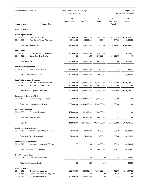| Lower Macungie Township              |                                             | Budget Worksheet - 2018 Budget<br>Periods: 01/17-12/17 |                        |                       | Page:<br>-14<br>Nov 14, 2017 12:02PM |                |  |
|--------------------------------------|---------------------------------------------|--------------------------------------------------------|------------------------|-----------------------|--------------------------------------|----------------|--|
| <b>Account Number</b>                | <b>Account Title</b>                        | 2018<br><b>Approved Budget</b>                         | 2018<br>Initial Budget | 2017<br><b>Budget</b> | 2017<br>Year to Date<br>Actual       | 2016<br>Actual |  |
| <b>Capital Projects Fund</b>         |                                             |                                                        |                        |                       |                                      |                |  |
| <b>Real Property Taxes</b>           |                                             |                                                        |                        |                       |                                      |                |  |
| 30.301.100                           | <b>Real Estate Taxes</b>                    | 1,200,000.00                                           | 1,200,000.00           | 1,200,000.00          | 1,143,338.16                         | 1,128,629.68   |  |
| 30.301.200                           | <b>Real Estate Taxes Prior Years</b>        | 10,000.00                                              | 10,000.00              | 10,000.00             | 170,877.66                           | 19,965.92      |  |
|                                      | <b>Total Real Property Taxes:</b>           | 1,210,000.00                                           | 1,210,000.00           | 1,210,000.00          | 1,314,215.82                         | 1,148,595.60   |  |
| <b>State Grants</b>                  |                                             |                                                        |                        |                       |                                      |                |  |
| 30.354.090                           | <b>State Community Dev Grants</b>           | 900,000.00                                             | 900,000.00             | 479,000.00            | .00                                  | 6,293.63       |  |
| 30.354.150                           | <b>State Recycling Grants</b>               | .00                                                    | .00                    | 205,000.00            | 250,000.00                           | .00            |  |
| <b>Total State Grants:</b>           |                                             | 900,000.00                                             | 900,000.00             | 684,000.00            | 250,000.00                           | 6,293.63       |  |
| <b>Fixed Asset Disposition</b>       |                                             |                                                        |                        |                       |                                      |                |  |
| 30.391.100                           | Sale of Fixed Assets                        | 120,000.00                                             | 120,000.00             | 20,000.00             | .00                                  | 32,446.50      |  |
|                                      | <b>Total Fixed Asset Disposition:</b>       | 120,000.00                                             | 120,000.00             | 20,000.00             | .00                                  | 32,446.50      |  |
| <b>Interfund Operating Transfers</b> |                                             |                                                        |                        |                       |                                      |                |  |
| 30.392.010                           | <b>Transfer From General Fund</b>           | 500,000.00                                             | 2,200,000.00           | 1,597,800.00          | 1,597,800.00                         | 1,129,100.00   |  |
| 30.392.190                           | <b>Transfer From Dev Impact</b>             | 200,000.00                                             | 200,000.00             | 892,000.00            | 691,668.80                           | .00            |  |
|                                      | <b>Total Interfund Operating Transfers:</b> | 700,000.00                                             | 2,400,000.00           | 2,489,800.00          | 2,289,468.80                         | 1,129,100.00   |  |
| <b>Proceeds of General LT Debt</b>   |                                             |                                                        |                        |                       |                                      |                |  |
| 30.393.120                           | <b>General Obligation Bonds</b>             | 6,000,000.00                                           | 6,000,000.00           | 7,000,000.00          | 55,000.00                            | .00            |  |
|                                      | <b>Total Proceeds of General LT Debt:</b>   | 6,000,000.00                                           | 6,000,000.00           | 7,000,000.00          | 55,000.00                            | .00            |  |
| <b>Prior Years Reserve</b>           |                                             |                                                        |                        |                       |                                      |                |  |
| 30.396.000                           | <b>Prior Year Reserve</b>                   | 2,181,800.00                                           | 381,800.00             | 500,000.00            | .00.                                 | .00            |  |
|                                      | <b>Total Prior Years Reserve:</b>           | 2,181,800.00                                           | 381,800.00             | 500,000.00            | .00                                  | .00            |  |
| Total Revenue:                       |                                             | 11,111,800.00                                          | 11,011,800.00          | 11,903,800.00         | 3,908,684.62                         | 2,316,435.73   |  |
| <b>Real Estate Tax Collection</b>    |                                             |                                                        |                        |                       |                                      |                |  |
| 30.403.210                           | <b>Tax Collection Office Supplies</b>       | 24,300.00                                              | 24,300.00              | 24,300.00             | 25,858.40                            | 26,823.30      |  |
|                                      | Total Real Estate Tax Collection:           | 24,300.00                                              | 24,300.00              | 24,300.00             | 25,858.40                            | 26,823.30      |  |
| <b>Intersection Improvements</b>     |                                             |                                                        |                        |                       |                                      |                |  |
| 30.439.612                           | Intersection Improve (ACT 209)              | .00                                                    | .00                    | 200,000.00            | 38,292.12                            | 55,149.42      |  |
|                                      | Total Intersection Improvements:            | .00                                                    | .00                    | 200,000.00            | 38,292.12                            | 55,149.42      |  |
| <b>Bond Issurance Costs</b>          |                                             |                                                        |                        |                       |                                      |                |  |
| 30.475.921                           | Debt Placement Fees                         | .00                                                    | .00                    | .00                   | .00                                  | 286.00         |  |
|                                      | Total Bond Issurance Costs:                 | .00                                                    | .00                    | .00                   | .00                                  | 286.00         |  |
| <b>Capital Projects</b>              |                                             |                                                        |                        |                       |                                      |                |  |
| 30.493.319                           | <b>Trucks &amp; Accessories</b>             | 965,000.00                                             | 965,000.00             | 1,300,000.00          | 333,483.70                           | 214,007.88     |  |
| 30.493.612                           | <b>Community Center Walking Trail</b>       | .00                                                    | .00                    | .00                   | 1,010.25                             | .00            |  |
| 30.493.617                           | Playground Equipment                        | 100,000.00                                             | 100,000.00             | .00                   | .00                                  | .00            |  |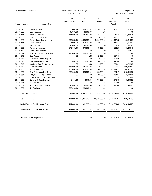| Lower Macungie Township        |                                          | Budget Worksheet - 2018 Budget | Page:<br>15                   |                       |                                |                      |
|--------------------------------|------------------------------------------|--------------------------------|-------------------------------|-----------------------|--------------------------------|----------------------|
|                                |                                          | Periods: 01/17-12/17           |                               |                       |                                | Nov 14, 2017 12:02PM |
| <b>Account Number</b>          | <b>Account Title</b>                     | 2018<br><b>Approved Budget</b> | 2018<br><b>Initial Budget</b> | 2017<br><b>Budget</b> | 2017<br>Year to Date<br>Actual | 2016<br>Actual       |
| 30.493.620                     | <b>Land Purchases</b>                    | 1,600,000.00                   | 1,600,000.00                  | 2,200,000.00          | 720,279.77                     | 215,323.29           |
| 30.493.626                     | Leaf Vacuums                             | 48,000.00                      | 48,000.00                     | .00                   | .00                            | .00                  |
| 30.493.631                     | Mowers & Blowers                         | 141,500.00                     | 141,500.00                    | 63,000.00             | 55,219.38                      | 52,838.76            |
| 30.493.633                     | Hills @ Lockridge CC                     | .00                            | .00                           | 75,000.00             | 9,973.31                       | .00                  |
| 30.493.635                     | Comm Center Improvements                 | 5,900,000.00                   | 5,800,000.00                  | 5,500,000.00          | 359,147.69                     | 29,819.32            |
| 30.493.636                     | Camp Olympic                             | 205,000.00                     | 205,000.00                    | 80,000.00             | 132,759.43                     | 311,074.62           |
| 30.493.637                     | Park Signage                             | 10,000.00                      | 10,000.00                     | .00                   | 89.90                          | 290.85               |
| 30.493.638                     | Park Improvements                        | 375,000.00                     | 375,000.00                    | 50,000.00             | 109,202.20                     | 185,255.17           |
| 30.493.640                     | <b>ARLE Grant Expenditures</b>           | .00                            | .00                           | .00                   | .00                            | 216.13               |
| 30.493.641                     | Pole Barn Bldgs/Storage Sheds            | 125,000.00                     | 125,000.00                    | .00                   | .00                            | .00                  |
| 30.493.642                     | Gas Pumps                                | .00                            | .00                           | 20,000.00             | 9,987.85                       | .00                  |
| 30.493.646                     | PW Annex Capital Projects                | .00                            | .00                           | 60,000.00             | 31,428.28                      | .00                  |
| 30.493.647                     | Sidewalks/Parking Lots                   | 50,000.00                      | 50,000.00                     | 50,000.00             | 32,210.00                      | .00                  |
| 30.493.648                     | Municipal Bldg Capital Improve           | .00                            | .00                           | 140,000.00            | 67,560.51                      | 49,722.22            |
| 30.493.649                     | PW Equipment                             | 145,000.00                     | 145,000.00                    | 60,000.00             | 59,995.14                      | 209,843.12           |
| 30.493.650                     | <b>Bridge Upgrades</b>                   | 300,000.00                     | 300,000.00                    | 200,000.00            | 500,388.31                     | 264,971.64           |
| 30.493.652                     | <b>Bike Trails &amp; Walking Trails</b>  | 900,000.00                     | 900,000.00                    | 606,500.00            | 36,964.17                      | 248,944.27           |
| 30.493.654                     | Recycling Bin Replacement                | .00                            | .00                           | 500,000.00            | 463,754.87                     | 5,307.64             |
| 30.493.655                     | <b>Riverbend Road Reconstruction</b>     | .00                            | .00                           | .00                   | .00                            | 222,278.74           |
| 30.493.656                     | <b>Community Park Projects</b>           | 8,000.00                       | 8,000.00                      | 709,000.00            | 349,575.09                     | 103,603.98           |
| 30.493.657                     | Wescosville CC                           | .00                            | .00                           | 51,000.00             | 29,600.00                      | .00                  |
| 30.493.659                     | <b>Traffic Control Equipment</b>         | 15,000.00                      | 15,000.00                     | 15,000.00             | 13,995.00                      | 57,435.00            |
| 30.493.660                     | <b>Traffic Signals</b>                   | 200,000.00                     | 200,000.00                    | .00                   | .00                            | .00                  |
| <b>Total Capital Projects:</b> |                                          | 11,087,500.00                  | 10,987,500.00                 | 11,679,500.00         | 3,316,624.85                   | 2,170,932.63         |
| <b>Total Expenditure:</b>      |                                          | 11,111,800.00                  | 11,011,800.00                 | 11,903,800.00         | 3,380,775.37                   | 2,253,191.35         |
|                                | Capital Projects Fund Revenue Total:     | 11,111,800.00                  | 11,011,800.00                 | 11,903,800.00         | 3,908,684.62                   | 2,316,435.73         |
|                                | Capital Projects Fund Expenditure Total: | 11,111,800.00                  | 11,011,800.00                 | 11,903,800.00         | 3,380,775.37                   | 2,253,191.35         |
|                                | Net Total Capital Projects Fund:         | .00                            | .00                           | .00                   | 527,909.25                     | 63,244.38            |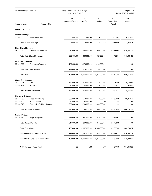|                                        | Lower Macungie Township<br>Budget Worksheet - 2018 Budget<br>Periods: 01/17-12/17 |                         |                               | Page:<br>16<br>Nov 14, 2017 12:02PM |                                |                |
|----------------------------------------|-----------------------------------------------------------------------------------|-------------------------|-------------------------------|-------------------------------------|--------------------------------|----------------|
| <b>Account Number</b>                  | <b>Account Title</b>                                                              | 2018<br>Approved Budget | 2018<br><b>Initial Budget</b> | 2017<br><b>Budget</b>               | 2017<br>Year to Date<br>Actual | 2016<br>Actual |
| <b>Liquid Fuels Fund</b>               |                                                                                   |                         |                               |                                     |                                |                |
| <b>Interest Earnings</b><br>35.341.000 | <b>Interest Earnings</b>                                                          | 8,000.00                | 8,000.00                      | 5,000.00                            | 9,667.69                       | 4,676.35       |
|                                        |                                                                                   |                         |                               |                                     |                                |                |
|                                        | <b>Total Interest Earnings:</b>                                                   | 8,000.00                | 8,000.00                      | 5,000.00                            | 9,667.69                       | 4,676.35       |
| <b>State Shared Revenue</b>            |                                                                                   |                         |                               |                                     |                                |                |
| 35.355.020                             | <b>Liquid Fuels Allocation</b>                                                    | 980,000.00              | 980,000.00                    | 920,000.00                          | 959,768.64                     | 915,981.03     |
|                                        | Total State Shared Revenue:                                                       | 980,000.00              | 980,000.00                    | 920,000.00                          | 959,768.64                     | 915,981.03     |
| <b>Prior Years Reserve</b>             |                                                                                   |                         |                               |                                     |                                |                |
| 35.396.000                             | <b>Prior Years Reserve</b>                                                        | 1,179,000.00            | 1,179,000.00                  | 1,130,000.00                        | .00                            | .00            |
|                                        | <b>Total Prior Years Reserve:</b>                                                 | 1,179,000.00            | 1,179,000.00                  | 1,130,000.00                        | .00                            | .00            |
| Total Revenue:                         |                                                                                   | 2,167,000.00            | 2,167,000.00                  | 2,055,000.00                        | 969,436.33                     | 920,657.38     |
| <b>Winter Maintenance</b>              |                                                                                   |                         |                               |                                     |                                |                |
| 35.432.281                             | Salt                                                                              | 150,000.00              | 150,000.00                    | 150,000.00                          | 61,915.80                      | 76,523.58      |
| 35.432.282                             | Anti-Skid                                                                         | 10,000.00               | 10,000.00                     | 10,000.00                           | 389.53                         | 2,428.02       |
|                                        | <b>Total Winter Maintenance:</b>                                                  | 160,000.00              | 160,000.00                    | 160,000.00                          | 62,305.33                      | 78,951.60      |
| <b>Highways &amp; Streets</b>          |                                                                                   |                         |                               |                                     |                                |                |
| 35.439.283                             | Road Resurfacing                                                                  | 550,000.00              | 550,000.00                    | 550,000.00                          | 526,801.59                     | 466,757.72     |
| 35.439.300                             | <b>Traffic Studies</b>                                                            | 40,000.00               | 40,000.00                     | .00                                 | .00                            | .00            |
| 35.439.612                             | Capital-Traffic Light Upgrades                                                    | 1,200,000.00            | 1,200,000.00                  | 1,000,000.00                        | .00                            | .00            |
|                                        | Total Highways & Streets:                                                         | 1,790,000.00            | 1,790,000.00                  | 1,550,000.00                        | 526,801.59                     | 466,757.72     |
| <b>Capital Projects</b>                |                                                                                   |                         |                               |                                     |                                |                |
| 35.493.680                             | Major Equipment                                                                   | 217,000.00              | 217,000.00                    | 345,000.00                          | 290,751.63                     | .00.           |
|                                        | <b>Total Capital Projects:</b>                                                    | 217,000.00              | 217,000.00                    | 345,000.00                          | 290,751.63                     | .00            |
| <b>Total Expenditure:</b>              |                                                                                   | 2,167,000.00            | 2,167,000.00                  | 2,055,000.00                        | 879,858.55                     | 545,709.32     |
|                                        | Liquid Fuels Fund Revenue Total:                                                  | 2,167,000.00            | 2,167,000.00                  | 2,055,000.00                        | 969,436.33                     | 920,657.38     |
|                                        | Liquid Fuels Fund Expenditure Total:                                              | 2,167,000.00            | 2,167,000.00                  | 2,055,000.00                        | 879,858.55                     | 545,709.32     |
|                                        | Net Total Liquid Fuels Fund:                                                      | .00                     | .00                           | .00                                 | 89,577.78                      | 374,948.06     |
|                                        |                                                                                   |                         |                               |                                     |                                |                |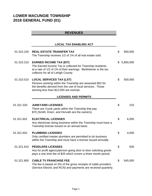# **LOWER MACUNGIE TOWNSHIP 2018 GENERAL FUND (01)**

# **REVENUES**

# **LOCAL TAX ENABLING ACT**

| 01.310.100 | <b>REAL ESTATE TRANSFER TAX</b><br>The Township receives 1/2 of 1% of all real estate sold.                                                                                                           | \$             | 950,000   |
|------------|-------------------------------------------------------------------------------------------------------------------------------------------------------------------------------------------------------|----------------|-----------|
| 01.310.210 | <b>EARNED INCOME TAX (EIT)</b><br>The Earned Income Tax is collected for Township residents<br>at a rate of 1/2 of 1% of their earnings. Berkheimer is the tax<br>collector for all of Lehigh County. | \$             | 5,800,000 |
| 01.310.510 | <b>LOCAL SERVICES TAX (LST)</b><br>Persons working within the Township are assessed \$52 for<br>the benefits derived from the use of local services. Those<br>earning less than \$12,000 are exempt.  | \$             | 500,000   |
|            | <b>LICENSES AND PERMITS</b>                                                                                                                                                                           |                |           |
| 01.321.320 | <b>JUNKYARD LICENSES</b><br>There are 3 junk yards within the Township that pay<br>\$70 (Smith, Knerr, and Horvath are the owners).                                                                   | \$             | 210       |
| 01.321.601 | <b>ELECTRICAL LICENSES</b><br>Any electrician doing business within the Township must have a<br>Township license issued on an annual basis.                                                           | $\mathfrak{S}$ | 6,000     |
| 01.321.602 | <b>PLUMBING LICENSES</b><br>Only certified master plumbers are permitted to do business<br>within the Township and must have a license issued annually.                                               | \$             | 4,000     |
| 01.321.610 | <b>PEDDLERS LICENSES</b><br>Any for profit agency/person going door to door soliciting goods<br>pays a one time fee of \$25 which covers a three month period.                                        | $\mathfrak{S}$ | 500       |
| 01.321.800 | <b>CABLE TV FRANCHISE FEE</b><br>The fee is based on 5% of the gross receipts of cable providers<br>(Service Electric and RCN) and payments are received quarterly.                                   | \$             | 545,000   |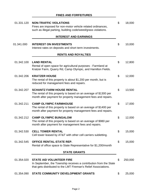# **FINES AND FORFEITURES**

| 01.331.120 | <b>NON-TRAFFIC VIOLATIONS</b><br>Fines are imposed for non-motor vehicle related ordinances,<br>such as illegal parking, building code/weed/grass violations.           | \$<br>18,000  |
|------------|-------------------------------------------------------------------------------------------------------------------------------------------------------------------------|---------------|
|            | <b>INTEREST AND EARNINGS</b>                                                                                                                                            |               |
| 01.341.000 | <b>INTEREST ON INVESTMENTS</b><br>Interest rates on deposits and short term investments.                                                                                | \$<br>10,000  |
|            | <b>RENTS AND ROYALTIES</b>                                                                                                                                              |               |
| 01.342.100 | <b>LAND RENTAL</b><br>Rental of open space for agricultural purposes - Farmland at<br>Kratzer Farm, Quarry Rd, Camp Olympic, and Hamilton Fields.                       | \$<br>12,800  |
| 01.342.206 | <b>KRATZER HOUSE</b><br>The rental of this property is about \$1,200 per month, but is<br>reduced for managament fees and repairs.                                      | \$<br>12,000  |
| 01.342.207 | <b>SCHANTZ FARM HOUSE RENTAL</b><br>The rental of this property is based on an average of \$1300 per<br>month after payment for property management fees and repairs.   | \$<br>13,500  |
| 01.342.211 | <b>CAMP OLYMPIC FARMHOUSE</b><br>The rental of this property is based on an average of \$1400 per<br>month after payment for property management fees and repairs.      | \$<br>17,000  |
| 01.342.212 | <b>CAMP OLYMPIC BUNGALOW</b><br>The rental of this property is based on an average of \$980 per<br>month after payment for management fees and repairs.                 | \$<br>12,000  |
| 01.342.530 | <b>CELL TOWER RENTAL</b><br>Cell tower leased by AT&T with other cell carriers subletting.                                                                              | \$<br>15,000  |
| 01.342.545 | OFFICE RENTAL-STATE REP.<br>Rental of office space to State Representative for \$1,200/month                                                                            | \$<br>15,000  |
|            | <b>STATE GRANTS</b>                                                                                                                                                     |               |
| 01.354.020 | <b>STATE AID VOLUNTEER FIRE</b><br>In September, the Township receives a contribution from the State<br>that gets distributed to the LMT Fireman's Relief Associations. | \$<br>250,000 |
| 01.354.090 | <b>STATE COMMUNITY DEVELOPMENT GRANTS</b>                                                                                                                               | \$<br>25,000  |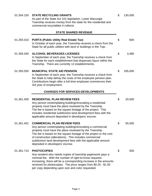| 01.354.150 | <b>STATE RECYCLING GRANTS</b><br>As part of the State Act 101 legislation, Lower Macungie<br>Township receives money from the state for the residential and<br>commercial recyclables it collects.                                                                                                                                                                                            | \$<br>130,000 |
|------------|-----------------------------------------------------------------------------------------------------------------------------------------------------------------------------------------------------------------------------------------------------------------------------------------------------------------------------------------------------------------------------------------------|---------------|
|            | <b>STATE SHARED REVENUE</b>                                                                                                                                                                                                                                                                                                                                                                   |               |
| 01.355.010 | <b>PURTA (Public Utility Real Estate Tax)</b><br>In October of each year, the Township receives a check from the<br>State for all public utilities with land or buildings in the Twp.                                                                                                                                                                                                         | \$<br>600     |
| 01.355.040 | <b>ALCOHOL BEVERAGES LICENSES</b><br>In September of each year, the Township receives a check from<br>the State for each establishment that dispenses liquor within the<br>Township. There are currently 12 establishments.                                                                                                                                                                   | \$<br>3,480   |
| 01.355.050 | <b>MUNICIPAL STATE AID PENSION</b><br>In September of each year, the Township receives a check from<br>the State to help defray the costs of the employee pension plan.<br>Contributions begin after a full-time employee commences their<br>3rd year of employment.                                                                                                                          | \$<br>185,000 |
|            | <b>CHARGES FOR SERVICES-DEVELOPMENTS</b>                                                                                                                                                                                                                                                                                                                                                      |               |
| 01.361.400 | <b>RESIDENTIAL PLAN REVIEW FEES</b><br>Any person contemplating building/renovating a residential<br>property must have the plans reviewed by the Township.<br>The fee is based on the square footage of the project. This<br>includes residential subdivision land development fees with the<br>applicable amount deposited in developers' escrow.                                           | \$<br>20,000  |
| 01.361.401 | <b>COMMERCIAL PLAN REVIEW FEES</b><br>Any person contemplating building/renovating a commercial<br>property must have the plans reviewed by the Township.<br>The fee is based on the square footage of the project or the cost<br>of construction (alterations). This includes commercial<br>subdivision land development fees with the applicable amount<br>deposited in developers' escrow. | \$<br>55,000  |
| 01.361.710 | <b>PHOTOCOPIES</b><br>Any resident who needs copies of township paperwork pays a<br>nominal fee. With the number of right-to-know requests<br>increasing, there will be a corresponding increase in the amounts<br>received for photocopies. The price ranges from \$0.25 - \$1.00<br>per copy depending upon size and color requested.                                                       | \$<br>500     |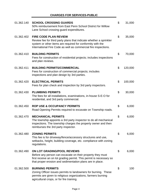# **CHARGES FOR SERVICES-PUBLIC**

÷,

| 01.362.140 | <b>SCHOOL CROSSING GUARDS</b><br>50% reimbursement from East Penn School District for Willow<br>Lane School crossing guard expenditures.                                                                                            | \$<br>31,000  |
|------------|-------------------------------------------------------------------------------------------------------------------------------------------------------------------------------------------------------------------------------------|---------------|
| 01.362.402 | <b>FIRE CODE PLAN REVIEW</b><br>Review fee for third party plans that indicate whether a sprinkler<br>system or other items are required for conformity with the<br>International Fire Code as well as commercial fire inspections. | \$<br>35,000  |
| 01.362.410 | <b>BUILDING PERMITS</b><br>Fees for construction of residential projects; includes inspections<br>and plan reviews.                                                                                                                 | \$<br>70,000  |
| 01.362.411 | <b>BUILDING PERMITS/COMMERCIAL</b><br>Fees for construction of commercial projects; includes<br>inspections and plan design by 3rd parties.                                                                                         | \$<br>120,000 |
| 01.362.420 | <b>ELECTRICAL PERMITS</b><br>Fees for plan check and inspection by 3rd party inspectors.                                                                                                                                            | \$<br>100,000 |
| 01.362.430 | <b>PLUMBING PERMITS</b><br>The fees for all installations, examinations, in-house S-E-O for<br>residential, and 3rd party commercial.                                                                                               | \$<br>30,000  |
| 01.362.450 | <b>ROP USE &amp; OCCUPANCY PERMITS</b><br>Road Opening Permits required to excavate on Township roads.                                                                                                                              | \$<br>6,000   |
| 01.362.470 | <b>MECHANICAL PERMITS</b><br>The township appoints a 3rd party inspector to do all mechanical<br>inspections. The township charges the property owner and then<br>reimburses the 3rd party inspector.                               | \$<br>6,000   |
| 01.362.480 | <b>ZONING PERMITS</b><br>This fee is for driveway/fence/accessory structures and use,<br>setbacks, height, building coverage, etc. compliance with zoning<br>regulations.                                                           | \$<br>6,000   |
| 01.362.490 | ON LOT GRADING/POOL REVIEWS<br>Before any person can excavate on their property they must<br>first receive an on lot grading permit. This permit is necessary so<br>that proper erosion and sedimentation plans are in place.       | \$<br>6,000   |
| 01.362.500 | <b>BURNING PERMITS</b><br>Zoning Officer issues permits to landowners for burning. These<br>permits are given to religious organizations, farmers burning<br>agricultural crops, or for fire training.                              | \$<br>100     |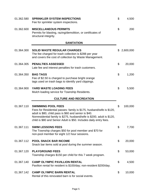| 01.362.580 | <b>SPRINKLER SYSTEM INSPECTIONS</b><br>Fee for sprinkler system inspections.                                                                                                                                                                                                                               | \$<br>4,500     |
|------------|------------------------------------------------------------------------------------------------------------------------------------------------------------------------------------------------------------------------------------------------------------------------------------------------------------|-----------------|
| 01.362.600 | <b>MISCELLANEOUS PERMITS</b><br>Permits for blasting, razing/demolition, or certificates of<br>structural integrity.                                                                                                                                                                                       | \$<br>200       |
|            | <b>SANITATION</b>                                                                                                                                                                                                                                                                                          |                 |
| 01.364.300 | <b>SOLID WASTE REGULAR CHARGES</b><br>The fee charged for trash collection is \$288 per year<br>and covers the cost of collection by Waste Management.                                                                                                                                                     | \$<br>2,600,000 |
| 01.364.305 | <b>PENALTIES ASSESSED</b><br>Late fee and interest penalties for trash customers.                                                                                                                                                                                                                          | \$<br>20,000    |
| 01.364.350 | <b>BAG TAGS</b><br>Fee of \$2.50 is charged to purchase bright orange<br>tags used on trash bags to identify yard clippings.                                                                                                                                                                               | \$<br>1,200     |
| 01.364.900 | YARD WASTE LOADING FEES<br>Mulch loading service for Township Residents.                                                                                                                                                                                                                                   | \$<br>5,500     |
|            | <b>CULTURE AND RECREATION</b>                                                                                                                                                                                                                                                                              |                 |
| 01.367.110 | <b>SWIMMING POOL FEES</b><br>Fees for Residential passes: family is \$175, husband/wife is \$120,<br>adult is \$80, child pass is \$60 and senior is \$40.<br>Nonresidential family is \$275, husband/wife is \$200, adult is \$120,<br>child is \$80 and Senior Adult is \$50. Includes daily entry fees. | \$<br>100,000   |
| 01.367.111 | <b>SWIM LESSONS FEES</b><br>The Township charges \$50 for pool member and \$70 for<br>non-pool member for eight 1/2 hour sessions.                                                                                                                                                                         | \$<br>7,700     |
| 01.367.112 | <b>POOL SNACK BAR INCOME</b><br>Snack bar items sold at pool during the summer season.                                                                                                                                                                                                                     | \$<br>20,000    |
| 01.367.120 | <b>PLAYGROUND FEES</b><br>Township charges \$150 per child for this 7 week program.                                                                                                                                                                                                                        | \$<br>53,000    |
| 01.367.140 | <b>CAMP OLYMPIC PAVILLION RENTAL</b><br>Pavilion rental for resident is \$100/day; non-resident \$200/day.                                                                                                                                                                                                 | \$<br>4,500     |
| 01.367.142 | <b>CAMP OLYMPIC BARN RENTAL</b><br>Rental of this renovated barn is for social events.                                                                                                                                                                                                                     | \$<br>10,000    |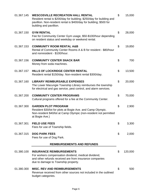| 01.367.145 | <b>WESCOSVILLE RECREATION HALL RENTAL</b><br>Resident rental is \$200/day for building; \$250/day for building and<br>pavillion. Non-resident rental is \$400/day for building; \$500 for<br>building and pavillion. | \$<br>15,000  |
|------------|----------------------------------------------------------------------------------------------------------------------------------------------------------------------------------------------------------------------|---------------|
| 01.367.150 | <b>GYM RENTAL</b><br>Fee for Community Center Gym usage, \$50-\$100/hour depending<br>on resident status and weekday or weekend rental.                                                                              | \$<br>28,000  |
| 01.367.153 | <b>COMMUNITY ROOM RENTAL A&amp;B</b><br>Rental of Community Center Rooms A & B for resident - \$80/hour<br>and nonresident - \$100/hour.                                                                             | \$<br>19,850  |
| 01.367.156 | <b>COMMUNITY CENTER SNACK BAR</b><br>Money from soda machines.                                                                                                                                                       | \$<br>700     |
| 01.367.157 | HILLS OF LOCKRIDGE CENTER RENTAL<br>Resident rental \$150/day. Non-resident rental \$300/day.                                                                                                                        | \$<br>13,500  |
| 01.367.160 | <b>LIBRARY REIMBURSABLE EXPENSES</b><br>The Lower Macungie Township Library reimburses the township<br>for electrical and gas service, pest control, and alarm services.                                             | \$<br>20,000  |
| 01.367.200 | <b>COMMUNITY CENTER PROGRAMS</b><br>Cultural programs offered for a fee at the Community Center.                                                                                                                     | \$<br>70,000  |
| 01.367.300 | <b>GARDEN PLOT PROGRAM</b><br>Resident \$30/lot for plots at Bogie Ave. and Camp Olympic.<br>Non-resident \$40/lot at Camp Olympic (non-resident not permitted<br>at Bogie Ave.)                                     | \$<br>2,900   |
| 01.367.301 | <b>FIELD USE FEES</b><br>Fees for use of Township fields.                                                                                                                                                            | \$<br>3,300   |
| 01.367.315 | <b>DOG PARK FEES</b><br>Fees for use of Dog Park.                                                                                                                                                                    | \$<br>2,000   |
|            | <b>REIMBURSEMENTS AND REFUNDS</b>                                                                                                                                                                                    |               |
| 01.380.100 | <b>INSURANCE REIMBURSEMENTS</b><br>For workers compensation dividend, medical dividend,<br>and other refunds received are from insurance companies<br>due to damage to Township property.                            | \$<br>120,000 |
| 01.380.300 | <b>MISC. REV AND REIMBURSEMENTS</b><br>Revenue received from other sources not included in the outlined<br>budget categories.                                                                                        | \$<br>500     |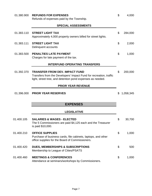| 01.380.900 | <b>REFUNDS FOR EXPENSES</b><br>Refunds of expenses paid by the Township.                                                                                                  | \$<br>4,000     |
|------------|---------------------------------------------------------------------------------------------------------------------------------------------------------------------------|-----------------|
|            | <b>SPECIAL ASSESSMENTS</b>                                                                                                                                                |                 |
| 01.383.110 | <b>STREET LIGHT TAX</b><br>Approximately 4,000 property owners billed for street lights.                                                                                  | \$<br>284,000   |
| 01.383.111 | <b>STREET LIGHT TAX</b><br>Delinquent accounts                                                                                                                            | \$<br>2,000     |
| 01.383.500 | <b>PENALTIES LATE PAYMENT</b><br>Charges for late payment of the tax.                                                                                                     | \$<br>1,000     |
|            | <b>INTERFUND OPERATING TRANSFERS</b>                                                                                                                                      |                 |
| 01.392.370 | <b>TRANSFER FROM DEV. IMPACT FUND</b><br>Transfers from the Developers' Impact Fund for recreation, traffic<br>light, street tree, and detention pond expenses as needed. | \$<br>200,000   |
|            | <b>PRIOR YEAR REVENUE</b>                                                                                                                                                 |                 |
| 01.396.000 | <b>PRIOR YEAR RESERVES</b>                                                                                                                                                | \$<br>1,058,345 |
|            | <b>EXPENSES</b>                                                                                                                                                           |                 |
|            | <b>LEGISLATIVE</b>                                                                                                                                                        |                 |
| 01.400.105 | <b>SALARIES &amp; WAGES - ELECTED</b><br>The 5 Commissioners are paid \$4,125 each and the Treasurer<br>is paid \$10,000.                                                 | \$<br>30,700    |
| 01.400.210 | <b>OFFICE SUPPLIES</b><br>Purchase of business cards, file cabinets, laptops, and other<br>office supplies for the Board of Commissioners.                                | \$<br>1,000     |
| 01.400.420 | <b>DUES, MEMBERSHIPS &amp; SUBSCRIPTIONS</b><br>Membership to League of Cities/PSATS                                                                                      | \$<br>500       |
| 01.400.460 | <b>MEETINGS &amp; CONFERENCES</b><br>Attendance at seminars/workshops by Commissioners.                                                                                   | \$<br>1,000     |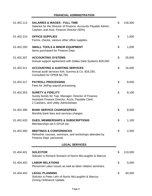# **FINANCIAL ADMINISTRATION**

J,

| 01.402.112 | <b>SALARIES &amp; WAGES - FULL TIME</b><br>Salaries for the Director of Finance, Accounts Payable Admin.,<br>Cashier, and Asst. Finance Director (50%)                            | \$<br>218,300 |
|------------|-----------------------------------------------------------------------------------------------------------------------------------------------------------------------------------|---------------|
| 01.402.210 | <b>OFFICE SUPPLIES</b><br>Forms, checks, various other office supplies.                                                                                                           | \$<br>1,000   |
| 01.402.260 | <b>SMALL TOOLS &amp; MINOR EQUIPMENT</b><br>Items purchased for Finance Dept.                                                                                                     | \$<br>1,000   |
| 01.402.307 | <b>ACCOUNTING SYSTEMS</b><br>Annual support agreement with Dallas Data Systems \$26,000                                                                                           | \$<br>26,000  |
| 01.402.311 | <b>ACCOUNTING &amp; AUDITING SERVICES</b><br>Annual audit services Kirk, Summa & Co. \$16,250,<br>Consultant for OPEB \$4,750.                                                    | \$<br>16,000  |
| 01.402.317 | <b>PAYROLL PROCESSING</b><br>Fees for JetPay payroll processing.                                                                                                                  | \$<br>8,500   |
| 01.402.353 | <b>SURETY &amp; FIDELITY</b><br>Surety bonds for Twp. Manager, Director of Finance,<br>Assistant Finance Director, Accts. Payable Clerk,<br>2 Cashiers, and Utility Administrator | \$<br>8,100   |
| 01.402.390 | <b>BANK SERVICE CHARGES/FEES</b><br>Monthly bank fees and services charges.                                                                                                       | \$<br>8,000   |
| 01.402.420 | <b>DUES, MEMBERSHIPS &amp; SUBSCRIPTIONS</b><br>Memberships wit h GFOA etc.                                                                                                       | \$<br>1,100   |
| 01.402.460 | <b>MEETINGS &amp; CONFERENCES</b><br>Refresher courses, seminars, and workshops attended by<br>Finance Dept. personnel.                                                           | \$<br>2,500   |
|            | <b>LEGAL SERVICES</b>                                                                                                                                                             |               |
| 01.404.401 | <b>SOLICITOR</b><br>Solicitor is Richard Somach of Norris McLaughlin & Marcus                                                                                                     | \$<br>110,000 |
| 01.404.402 | <b>LABOR RELATIONS</b><br>Personnel Labor issues as well as labor relation seminars.                                                                                              | \$<br>5,000   |
| 01.404.403 | <b>LEGAL PLANNING</b><br>Solicitor is Peter Lehr of Norris McLaughlin & Marcus<br><b>Zoning Ordinance Update</b>                                                                  | \$<br>40,000  |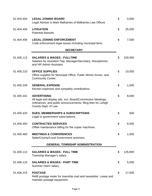| 01.404.404 | <b>LEGAL ZONING BOARD</b><br>Legal Advisor is Mark Malkames of Malkames Law Offices                                                                                       | \$<br>5,000   |
|------------|---------------------------------------------------------------------------------------------------------------------------------------------------------------------------|---------------|
| 01.404.405 | <b>LITIGATION</b><br><b>Potential lawsuits</b>                                                                                                                            | \$<br>25,000  |
| 01.404.406 | <b>LEGAL ZONING ENFORCEMENT</b><br>Code enforcement legal issues including municipal liens.                                                                               | \$<br>7,500   |
|            | <b>SECRETARY</b>                                                                                                                                                          |               |
| 01.405.112 | <b>SALARIES &amp; WAGES - FULLTIME</b><br>Salaries for Assistant Twp. Manager/Secretary, Receptionist,<br>and HR Admin Assistant                                          | \$<br>159,300 |
| 01.405.210 | <b>OFFICE SUPPLIES</b><br>Office supplies for Municipal Office, Public Works Annex, and<br><b>Community Center.</b>                                                       | \$<br>10,000  |
| 01.405.249 | <b>GENERAL EXPENSE</b><br>Kitchen expenses and sympathy contributions.                                                                                                    | \$<br>1,000   |
| 01.405.341 | <b>ADVERTISING</b><br>All legal and display ads, incl. Board/Commission Meetings,<br>ordinances, and public announcements; filing fees for Lehigh<br>County Dept. of Law. | \$<br>8,000   |
| 01.405.420 | <b>DUES, MEMBERSHIPS &amp; SUBSCRIPTIONS</b><br>Legal or government subscriptions.                                                                                        | \$<br>500     |
| 01.405.450 | <b>CONTRACTED SERVICES</b><br>Offtek maintenance billing for the copier machines.                                                                                         | \$<br>6,500   |
| 01.405.460 | <b>MEETINGS &amp; CONFERENCES</b><br>State/County/Local Government seminars.                                                                                              | \$<br>1,000   |
|            | <b>GENERAL TOWNSHIP ADMINISTRATION</b>                                                                                                                                    |               |
| 01.406.112 | <b>SALARIES &amp; WAGES - FULL TIME</b><br>Township Manager's salary.                                                                                                     | \$<br>126,800 |
| 01.406.115 | <b>SALARIES &amp; WAGES - PART TIME</b><br>Summer intern salary.                                                                                                          | \$<br>5,000   |
| 01.406.215 | <b>POSTAGE</b><br>Refill postage meter for township mail and newsletter. Lease and<br>maintain postage equipment.                                                         | \$<br>17,000  |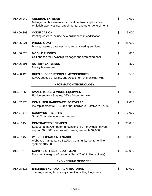| 01.406.249 | <b>GENERAL EXPENSE</b><br>Mileage reimbursements for travel on Township business,<br>Whistleblower Hotline, refreshments, and other general items. | \$<br>7,000  |
|------------|----------------------------------------------------------------------------------------------------------------------------------------------------|--------------|
| 01.406.308 | <b>CODIFICATION</b><br>Printing costs to include new ordinances in codification.                                                                   | \$<br>5,000  |
| 01.406.321 | <b>PHONE &amp; DATA</b><br>Phone, internet, data network, and answering services.                                                                  | \$<br>25,600 |
| 01.406.324 | <b>MOBILE PHONES</b><br>Cell phones for Township Manager and swimming pool.                                                                        | \$<br>800    |
| 01.406.391 | <b>NOTARY EXPENSES</b><br>Notary license fee.                                                                                                      | \$<br>800    |
| 01.406.420 | <b>DUES, SUBSCRIPTIONS &amp; MEMBERSHIPS</b><br>ICMA, League of Cities, and Assoc. for PA Municipal Mgt.                                           | \$<br>500    |
|            | <b>INFORMATION TECHNOLOGY</b>                                                                                                                      |              |
| 01.407.260 | <b>SMALL TOOLS &amp; MINOR EQUIPMENT</b><br>Equipment from Staples, Office Depot, Amazon                                                           | \$<br>1,000  |
| 01.407.270 | <b>COMPUTER HARDWARE, SOFTWARE</b><br>PC replacements \$12,000, Other hardware & software \$7,000.                                                 | \$<br>19,000 |
| 01.407.374 | <b>EQUIPMENT REPAIRS</b><br>Small Computer equipment repairs.                                                                                      | \$<br>1,000  |
| 01.407.450 | <b>CONTRACTED SERVICES</b><br>Susquehanna Computer Innovations (SCI) provides network<br>support \$21,000, various software agreements \$7,000     | \$<br>38,000 |
| 01.407.453 | <b>WEB DESIGN/MAINTENANCE</b><br>Webpage maintenance \$1,000., Community Center online<br>systems \$15,000.                                        | \$<br>16,000 |
| 01.407.613 | <b>CAPITAL-OFFICE/IT EQUIPMENT</b><br>Document imaging of property files. (20 of 34 file cabinets)                                                 | \$<br>52,000 |
|            | <b>ENGINEERING SERVICES</b>                                                                                                                        |              |
| 01.408.313 | <b>ENGINEERING AND ARCHITECTURAL</b><br>The engineering firm is Keystone Consulting Engineers.                                                     | \$<br>80,000 |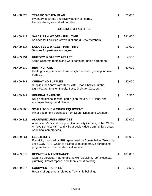| 01.408.325 | <b>TRAFFIC SYSTEM PLAN</b><br>Inventory of streets and review safety concerns.<br>Identify strategies and list priorities.                                                                          | \$<br>70,000  |
|------------|-----------------------------------------------------------------------------------------------------------------------------------------------------------------------------------------------------|---------------|
|            | <b>BUILDINGS &amp; FACILITIES</b>                                                                                                                                                                   |               |
| 01.409.112 | <b>SALARIES &amp; WAGES - FULL TIME</b><br>Salaries for Facilities Crew Chief and 3 Crew Members.                                                                                                   | \$<br>281,600 |
| 01.409.115 | <b>SALARIES &amp; WAGES - PART TIME</b><br>Salaries for part-time employees.                                                                                                                        | \$<br>19,000  |
| 01.409.191 | <b>UNIFORM &amp; SAFETY APPAREL</b><br>Acme Uniforms rentals and work boots per union agreement.                                                                                                    | \$<br>4,500   |
| 01.409.230 | <b>HEATING FUEL</b><br>Heating oil is purchased from Lehigh Fuels and gas is purchased<br>from UGI.                                                                                                 | \$<br>30,000  |
| 01.409.241 | <b>OPERATING SUPPLIES</b><br>Supplies for Annex from Dries, ABE Door, Shelly's Lumber,<br>Light Fixture, Master Supply, Buss, Grainger, Zee, etc.                                                   | \$<br>20,000  |
| 01.409.249 | <b>GENERAL EXPENSE</b><br>Drug and alcohol testing, port-a-john rentals, ABE labs, and<br>employee background checks.                                                                               | \$<br>3,500   |
| 01.409.260 | <b>SMALL TOOLS &amp; MINOR EQUIPMENT</b><br>Minor equipment purchases from Sears, Dries, and Grainger.                                                                                              | \$<br>14,000  |
| 01.409.318 | <b>ALARM/SECURITY SERVICES</b><br>Alarms for Municipal Complex, Community Centers, Public Works<br>Annex, Schantz Farm and Hills at Lock Ridge Community Center.<br>Additional camera fees.         | \$<br>22,000  |
| 01.409.361 | <b>ELECTRICITY</b><br>Electricity provided by PPL, generated by Constellation. Township<br>uses COSTARS, which is a State-wide cooperative purchasing<br>program to procure our electrical service. | \$<br>35,000  |
| 01.409.372 | <b>REPAIRS &amp; MAINTENANCE</b><br>Cleaning services, mat rentals, as well as siding, roof, electrical,<br>plumbing, HVAC repairs, and tennis court painting.                                      | \$<br>165,000 |
| 01.409.374 | <b>EQUIPMENT REPAIRS</b><br>Repairs of equipment related to Township buildings.                                                                                                                     | \$<br>6,500   |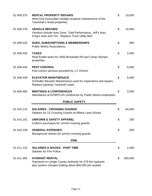| 01.409.375 | <b>RENTAL PROPERTY REPAIRS</b><br>West End Associates handles property maintenance of the<br>Township's rental properties.                     | \$<br>10,000  |
|------------|------------------------------------------------------------------------------------------------------------------------------------------------|---------------|
| 01.409.378 | <b>VEHICLE REPAIRS</b><br>Vendors include Auto Zone, Total Performance, Jeff's Auto,<br>Greg's Auto and Tire. Replace Truck Utility Bed.       | \$<br>10,000  |
| 01.409.420 | <b>DUES, SUBSCRIPTIONS &amp; MEMBERSHIPS</b><br><b>Public Works Associations.</b>                                                              | \$<br>950     |
| 01.409.430 | <b>TAXES</b><br>Real Estate taxes for 3450 Brookside Rd and Camp Olympic<br>properties.                                                        | \$<br>2,500   |
| 01.409.440 | <b>PEST CONTROL</b><br>Pest control services provided by J C Ehrlich.                                                                          | \$<br>5,000   |
| 01.409.449 | <b>ELEVATOR MAINTNENACE</b><br>Schindler Elevator Maintenance used for inspections and repairs.<br>Replace packing / hydraulic seals.          | \$<br>5,000   |
| 01.409.460 | <b>MEETINGS &amp; CONFERENCES</b><br>Attendance at EPWPCOA conference by Public Works employees.                                               | \$<br>3,000   |
|            | <b>PUBLIC SAFETY</b>                                                                                                                           |               |
| 01.410.115 | <b>SALARIES - CROSSING GUARDS</b><br>Salaries for 13 Crossing Guards at Willow Lane School.                                                    | \$<br>64,000  |
| 01.410.191 | <b>UNIFORM &amp; SAFETY APPAREL</b><br>Uniform purchases for school crossing guards.                                                           | \$<br>250     |
| 01.410.249 | <b>GENERAL EXPENSES</b><br>Background checks for school crossing guards.                                                                       | \$<br>500     |
|            | <b>FIRE</b>                                                                                                                                    |               |
| 01.411.115 | <b>SALARIES &amp; WAGES - PART TIME</b><br>Salaries for Fire Police.                                                                           | \$<br>1,000   |
| 01.411.363 | <b>HYDRANT RENTAL</b><br>Payments to Lehigh County Authority for 578 fire hydrants<br>plus system charges totaling about \$40,000 per quarter. | \$<br>160,000 |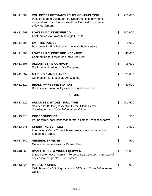| 01.411.500 | <b>VOLUNTEER FIREMAN'S RELIEF CONTRIBUTION</b><br>Pass through to Volunteer Fire Departments of payments<br>received from the Commonwealth of PA used to purchase<br>safety equipment. | \$<br>250,000 |
|------------|----------------------------------------------------------------------------------------------------------------------------------------------------------------------------------------|---------------|
| 01.411.501 | <b>LOWER MACUNGIE FIRE CO.</b><br>Contributions to Lower Macungie Fire Co.                                                                                                             | \$<br>100,000 |
| 01.411.503 | <b>LMT FIRE POLICE</b><br>Purchases for Fire Police and cellular phone service.                                                                                                        | \$<br>5,000   |
| 01.411.505 | <b>LOWER MACUNGIE FIRE INCENTIVE</b><br>Contribution for Lower Macungie Fire Dept.                                                                                                     | \$<br>40,000  |
| 01.411.506 | <b>ALBURTIS FIRE COMPANY</b><br>Contribution to Alburtis Fire Company.                                                                                                                 | \$<br>15,000  |
| 01.411.507 | <b>MACUNGIE AMBULANCE</b><br>Contribution for Macungie Ambulance.                                                                                                                      | \$<br>25,000  |
| 01.411.510 | <b>BRANDYWINE FIRE STATION</b><br>Brandywine Station utility expenses and insurance.                                                                                                   | \$<br>30,000  |
|            | <b>PERMITS</b>                                                                                                                                                                         |               |
| 01.413.112 | <b>SALARIES &amp; WAGES - FULL TIME</b><br>Salaries for Building Inspector, Permit Clerk, Permit<br>Coordinator, and Code Enforcement Officer.                                         | \$<br>201,600 |
| 01.413.210 | <b>OFFICE SUPPLIES</b><br>Permit forms, pool inspection forms, electrical inspection forms.                                                                                            | \$<br>500     |
| 01.413.241 | <b>OPERATING SUPPLIES</b><br>International Code Council books, work boots for inspectors,<br>and printed forms.                                                                        | \$<br>1,500   |
| 01.413.249 | <b>GENERAL EXPENSE</b><br>General expense items for Permits Dept.                                                                                                                      | \$<br>500     |
| 01.413.260 | <b>SMALL TOOLS &amp; MINOR EQUIPMENT</b><br>Large copier lease, Permit-n-Force software support, purchase of<br>copier/scanner/printer . GIS system.                                   | \$<br>20,000  |
| 01.413.324 | <b>MOBILE PHONES</b><br>Cell phones for Building Inspector, SEO, and Code Enforcement<br>Officer.                                                                                      | \$<br>1,000   |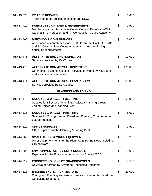| 01.413.378 | <b>VEHICLE REPAIRS</b><br>Truck repairs for Building Inspector and SEO.                                                                                                            | \$<br>3,000   |
|------------|------------------------------------------------------------------------------------------------------------------------------------------------------------------------------------|---------------|
| 01.413.420 | <b>DUES, SUBSCRIPTIONS &amp; MEMBERSHIPS</b><br>Memberships for International Codes Council, PennBoc, ASLA,<br>National Fire Protection, and PA Construction Codes Academy.        | \$<br>1,500   |
| 01.413.460 | <b>MEETINGS &amp; CONFERENCES</b><br>Attendance at conferences for BOCA, PennBoc, PASEO, PSAB,<br>and PA Constructions Codes Academy to meet continuing<br>education requirements. | \$<br>3,000   |
| 01.413.471 | <b>ALTERNATE BUILDING INSPECTOR</b><br>Services provided by KeyCodes.                                                                                                              | \$<br>10,000  |
| 01.413.473 | <b>ALTERNATE COMMERCIAL INSPECTOR</b><br>Commercial building inspection services provided by KeyCodes<br>and fire inspection services.                                             | \$<br>170,000 |
| 01.413.474 | <b>ALTERNATE COMMERCIAL PLAN REVIEW</b><br>Services provided by KeyCodes.                                                                                                          | \$<br>30,000  |
|            | <b>PLANNING AND ZONING</b>                                                                                                                                                         |               |
| 01.414.112 | <b>SALARIES &amp; WAGES - FULL TIME</b><br>Salaries for Director of Planning, Assistant Planning Director,<br>Zoning Officer, and Planning Clerk.                                  | \$<br>269,900 |
| 01.414.115 | <b>SALARIES &amp; WAGES - PART TIME</b><br>Salaries for Zoning Hearing Board and Planning Commission at<br>\$25 per meeting.                                                       | \$<br>8,000   |
| 01.414.210 | <b>OFFICE SUPPLIES</b><br>Office supplies for the Planning & Zoning Dept.                                                                                                          | \$<br>1,500   |
| 01.414.260 | <b>SMALL TOOLS &amp; MINOR EQUIPMENT</b><br>Minor equipment items for the Planning & Zoning Dept., including<br>GIS software.                                                      | \$<br>1,200   |
| 01.414.305 | <b>ENVIRONMENTAL ADVISORY COUNCIL</b><br>Expenses for the Environmental Advisory Council (EAC).                                                                                    | \$<br>3,000   |
| 01.414.312 | <b>ENGINEERING - ON LOT GRADING/POOLS</b><br>Reviews performed by Keystone Consulting Engineers.                                                                                   | \$<br>7,500   |
| 01.414.313 | <b>ENGINEERING &amp; ARCHITECTURE</b><br>Zoning and Planning engineering services provided by Keystone<br><b>Consulting Engineers.</b>                                             | \$<br>20,000  |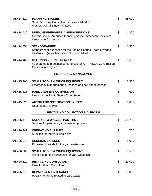| 01.414.319 | <b>PLANNING STUDIES</b><br>Saldo & Zoning Consutlant Services - \$40,000<br>Western Jaindl Study - \$45,000                             | \$<br>85,000 |
|------------|-----------------------------------------------------------------------------------------------------------------------------------------|--------------|
| 01.414.420 | <b>DUES, MEMBERSHIPS &amp; SUBSCRIPTIONS</b><br>Membership in American Planning Assoc., American Society of<br>Landscape Architects.    | \$<br>1,200  |
| 01.414.454 | <b>STENOGRAPHER</b><br>Stenographer expenses for the Zoning Hearing Board provided<br>by Veritext. (Appellant pays 1/2 of cost billed.) | \$<br>1,500  |
| 01.414.460 | <b>MEETINGS &amp; CONFERENCES</b><br>Attendance at meetings/conferences for APA, ASLA, Construction<br>Codes Academy, etc.              | \$<br>1,500  |
|            | <b>EMERGENCY MANAGEMENT</b>                                                                                                             |              |
| 01.415.260 | <b>SMALL TOOLS &amp; MINOR EQUIPMENT</b><br>Emergency Management purchases and cell phone service.                                      | \$<br>12,500 |
| 01.415.315 | <b>PUBLIC SAFETY COMMISSION</b><br>Items for the Public Safety Commission.                                                              | \$<br>600    |
| 01.415.320 | <b>AUTOMATIC NOTIFICATION SYSTEM</b><br>Reverse 911 Service                                                                             | \$<br>10,000 |
|            | <b>RECYCLING COLLECTION &amp; DISPOSAL</b>                                                                                              |              |
| 01.426.115 | <b>SALARIES &amp; WAGES - PART TIME</b><br>Salaries for part time yard waste employees.                                                 | \$<br>33,750 |
| 01.426.241 | <b>OPERATING SUPPLIES</b><br>Supplies for the yard waste site.                                                                          | \$<br>750    |
| 01.426.249 | <b>GENERAL EXPENSE</b><br>Port-o-john rentals for the yard waste site.                                                                  | \$<br>5,000  |
| 01.426.260 | <b>SMALL TOOLS &amp; MINOR EQUIPMENT</b><br>Minor equipment purchases for yard waste site.                                              | \$<br>3,500  |
| 01.426.310 | <b>RECYCLING CONSULTANT</b><br><b>Fees for Grant Consultant</b>                                                                         | \$<br>21,000 |
| 01.426.372 | <b>REPAIRS &amp; MAINTENANCE</b><br>Repairs for items related to yard waste.                                                            | \$<br>10,000 |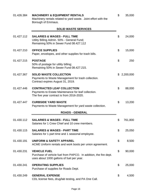| 01.426.384 | <b>MACHINERY &amp; EQUIPMENT RENTALS</b><br>Machinery rentals related to yard waste. Joint effort with the<br>Borough of Emmaus.<br><b>SOLID WASTE SERVICES</b> | \$<br>35,000  |
|------------|-----------------------------------------------------------------------------------------------------------------------------------------------------------------|---------------|
|            |                                                                                                                                                                 |               |
| 01.427.112 | <b>SALARIES &amp; WAGES - FULL TIME</b><br>Utility Billing Admin. 50% - General Fund;<br>Remaining 50% in Sewer Fund 08.427.112                                 | \$<br>24,000  |
| 01.427.210 | <b>OFFICE SUPPLIES</b><br>Paper, envelopes, and other supplies for trash bills.                                                                                 | \$<br>15,000  |
| 01.427.215 | <b>POSTAGE</b><br>50% of postage for utility billing;<br>Remaining 50% in Sewer Fund 08.427.215.                                                                | \$<br>250     |
| 01.427.367 | <b>SOLID WASTE COLLECTION</b><br>Payments to Waste Management for trash collection.<br>Contract expires August 31, 2019.                                        | \$2,200,000   |
| 01.427.446 | <b>CONTRACTED LEAF COLLECTION</b><br>Payments to Estate Maintenance for leaf collection.<br>The five year contract is from 2016-2020.                           | \$<br>88,000  |
| 01.427.447 | <b>CURBSIDE YARD WASTE</b><br>Payments to Waste Management for yard waste collection.                                                                           | \$<br>13,200  |
|            | <b>ROADS - GENERAL</b>                                                                                                                                          |               |
| 01.430.112 | <b>SALARIES &amp; WAGES - FULL TIME</b><br>Salaries for 1 Crew Chief and 10 crew members.                                                                       | \$<br>761,800 |
| 01.430.115 | <b>SALARIES &amp; WAGES - PART TIME</b><br>Salaries for 1 part time and 1 seasonal employee.                                                                    | \$<br>25,050  |
| 01.430.191 | <b>UNIFORM &amp; SAFETY APPAREL</b><br>ACME Uniform rentals and work boots per union agreement.                                                                 | \$<br>8,500   |
| 01.430.231 | <b>VEHICLE FUEL</b><br>Purchase of vehicle fuel from PAPCO. In addition, the fire dept.<br>uses about 1000 gallons of fuel per year.                            | \$<br>90,000  |
| 01.430.241 | <b>OPERATING SUPPLIES</b><br>Purchase of supplies for Roads Dept.                                                                                               | \$<br>25,000  |
| 01.430.249 | <b>GENERAL EXPENSE</b><br>CDL license fees, drug/lab testing, and PA One Call.                                                                                  | \$<br>4,500   |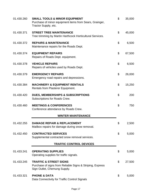| 01.430.260 | <b>SMALL TOOLS &amp; MINOR EQUIPMENT</b><br>Purchase of minor equipment items from Sears, Grainger,<br>Tractor Supply, etc.    | \$<br>35,000 |
|------------|--------------------------------------------------------------------------------------------------------------------------------|--------------|
| 01.430.371 | <b>STREET TREE MAINTENANCE</b><br>Tree trimming by Martin Harthcock Horticultural Services.                                    | \$<br>45,000 |
| 01.430.372 | <b>REPAIRS &amp; MAINTENANCE</b><br>Maintenance repairs for the Roads Dept.                                                    | \$<br>6,500  |
| 01.430.374 | <b>EQUIPMENT REPAIRS</b><br>Repairs of Roads Dept. equipment.                                                                  | \$<br>67,500 |
| 01.430.378 | <b>VEHICLE REPAIRS</b><br>Repairs of vehicles used by Roads Dept.                                                              | \$<br>6,500  |
| 01.430.379 | <b>EMERGENCY REPAIRS</b><br>Emergency road repairs and depressions.                                                            | \$<br>26,000 |
| 01.430.384 | <b>MACHINERY &amp; EQUIPMENT RENTALS</b><br>Rentals from Plasterer Equipment.                                                  | \$<br>15,250 |
| 01.430.420 | <b>DUES, MEMBERSHIPS &amp; SUBSCRIPTIONS</b><br>Subscriptions for Roads Crew.                                                  | \$<br>200    |
| 01.430.460 | <b>MEETINGS &amp; CONFERENCES</b><br>Conference attendance by Roads Crew.                                                      | \$<br>750    |
|            | <b>WINTER MAINTENANCE</b>                                                                                                      |              |
| 01.432.255 | <b>DAMAGE REPAIR &amp; REPLACEMENT</b><br>Mailbox repairs for damage during snow removal.                                      | \$<br>2,500  |
| 01.432.450 | <b>CONTRACTED SERVICES</b><br>Supplemental contracted snow removal services.                                                   | \$<br>5,000  |
|            | <b>TRAFFIC CONTROL DEVICES</b>                                                                                                 |              |
| 01.433.241 | <b>OPERATING SUPPLIES</b><br>Operating supplies for traffic signals.                                                           | \$<br>5,000  |
| 01.433.245 | <b>TRAFFIC &amp; STREET SIGNS</b><br>Purchase of signs from Reliable Signs & Striping, Express<br>Sign Outlet, Chemung Supply. | \$<br>27,500 |
| 01.433.321 | <b>PHONE &amp; DATA</b><br>Data Connectivity for Traffic Control Signals                                                       | \$<br>5,000  |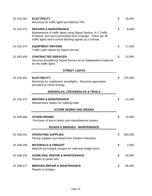| 01.433.361 | <b>ELECTRICITY</b><br>Electricity for traffic lights provided by PPL.                                                                                                                                                          | \$<br>26,000  |
|------------|--------------------------------------------------------------------------------------------------------------------------------------------------------------------------------------------------------------------------------|---------------|
| 01.433.372 | <b>REPAIRS &amp; MAINTENANCE</b><br>Maintenance of traffic lights using Signal Service, A-1 Traffic<br>Products, and items purchased from Grainger. There are 28<br>traffic lights and 8 school flashing signals at 3 schools. | \$<br>8,000   |
| 01.433.374 | <b>EQUIPMENT REPAIRS</b><br>Traffic Light repairs by Signal Service.                                                                                                                                                           | \$<br>17,500  |
| 01.433.450 | <b>CONTRACTED SERVICES</b><br>Services provided by Signal Service as an independent inspector<br>for the traffic lights.                                                                                                       | \$<br>12,000  |
|            | <b>STREET LIGHTS</b>                                                                                                                                                                                                           |               |
| 01.434.361 | <b>ELECTRICITY</b><br>Electricity for subdivision streetlights. Electricity generation<br>provided by Direct Energy.                                                                                                           | \$<br>275,000 |
|            | <b>SIDEWALKS, CROSSWALKS &amp; TRAILS</b>                                                                                                                                                                                      |               |
| 01.435.372 | <b>REPAIRS &amp; MAINTENANCE</b><br>Maintenance repairs for walking trails.                                                                                                                                                    | \$<br>11,000  |
|            | <b>STORM SEWER AND DRAINS</b>                                                                                                                                                                                                  |               |
| 01.436.366 | <b>STORM DRAINS</b><br>Purchase of storm drains and miscellaneous repairs.                                                                                                                                                     | \$<br>10,000  |
|            | <b>ROADS &amp; BRIDGES - MAINTENANCE</b>                                                                                                                                                                                       |               |
| 01.438.241 | <b>OPERATING SUPPLIES</b><br>Paving supplies purchased from Eastern Industries.                                                                                                                                                | \$<br>300,000 |
| 01.438.258 | <b>MATERIALS &amp; FREIGHT</b><br>Material and freight charges for road and bridge items.                                                                                                                                      | \$<br>2,000   |
| 01.438.376 | <b>GUIDE RAIL REPAIR &amp; MAINTENANCE</b><br>Repairs to guide rails.                                                                                                                                                          | \$<br>25,000  |
| 01.438.377 | <b>BRIDGES REPAIR &amp; MAINTENANCE</b><br>Repairs to bridges.                                                                                                                                                                 | \$<br>85,000  |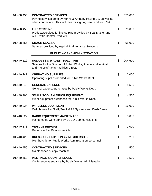| 01.438.450 | <b>CONTRACTED SERVICES</b><br>Paving services done by Kuhns & Anthony Paving Co. as well as<br>other contractors. This includes milling, fog seal, and road MAT. | \$<br>350,000 |
|------------|------------------------------------------------------------------------------------------------------------------------------------------------------------------|---------------|
| 01.438.455 | <b>LINE STRIPING</b><br>Products/services for line striping provided by Seal Master and<br>A-1 Traffic Control Products.                                         | \$<br>75,000  |
| 01.438.456 | <b>CRACK SEALING</b><br>Services provided by Asphalt Maintenance Solutions.                                                                                      | \$<br>95,000  |
|            | <b>PUBLIC WORKS ADMINISTRATION</b>                                                                                                                               |               |
| 01.440.112 | <b>SALARIES &amp; WAGES - FULL TIME</b><br>Salaries for the Director of Public Works, Administrative Asst.,<br>and Projects/Parks-Facilities Director.           | \$<br>204,600 |
| 01.440.241 | <b>OPERATING SUPPLIES</b><br>Operating supplies needed for Public Works Dept.                                                                                    | \$<br>2,000   |
| 01.440.249 | <b>GENERAL EXPENSE</b><br>General expense purchases by Public Works Dept.                                                                                        | \$<br>5,500   |
| 01.440.260 | <b>SMALL TOOLS &amp; MINOR EQUIPMENT</b><br>Minor equipment purchases for Public Works Dept.                                                                     | \$<br>4,500   |
| 01.440.324 | <b>WIRELESS EQUIPMENT</b><br>Cell phones PW Staff, Truck GPS Systems and Dash Cams                                                                               | \$<br>16,000  |
| 01.440.327 | <b>RADIO EQUIPMENT MAINTENACE</b><br>Maintenance work done by ECCO Communications.                                                                               | \$<br>5,000   |
| 01.440.378 | <b>VEHICLE REPAIRS</b><br>Repairs to PW Director vehicle.                                                                                                        | \$<br>1,000   |
| 01.440.420 | <b>DUES, SUBSCRIPTIONS &amp; MEMBERSHIPS</b><br>Membership for Public Works Administration personnel.                                                            | \$<br>200     |
| 01.440.450 | <b>CONTRACTED SERVICES</b><br>Maintenance of copy machine.                                                                                                       | \$<br>500     |
| 01.440.460 | <b>MEETINGS &amp; CONFERENCES</b><br>Conference attendance by Public Works Administration.                                                                       | \$<br>1,500   |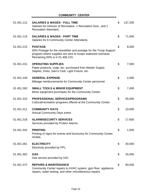# **COMMUNITY CENTER**

| 01.451.112 | <b>SALARIES &amp; WAGES - FULL TIME</b><br>Salaries for Director of Recreation, 1 Recreation Asst., and 1<br><b>Recreation Attendant.</b>                                              | \$<br>137,200 |
|------------|----------------------------------------------------------------------------------------------------------------------------------------------------------------------------------------|---------------|
| 01.451.115 | <b>SALARIES &amp; WAGES - PART TIME</b><br>Salaries for 6 Community Center Attendants.                                                                                                 | \$<br>71,000  |
| 01.451.215 | <b>POSTAGE</b><br>50% Postage for the newsletter and postage for the Troop Support<br>program where supplies are sent to troops stationed overseas.<br>Remaining 50% is in 01.406.215. | \$<br>8,000   |
| 01.451.241 | <b>OPERATING SUPPLIES</b><br>Paper products, soap, etc. purchased from Master Supply,<br>Staples, Dries, Sam's Club, Light Fixture, etc.                                               | \$<br>7,500   |
| 01.451.249 | <b>GENERAL EXPENSE</b><br>Mileage reimbursements for Community Center personnel.                                                                                                       | \$<br>2,000   |
| 01.451.260 | <b>SMALL TOOLS &amp; MINOR EQUIPMENT</b><br>Minor equipment purchases for the Community Center.                                                                                        | \$<br>7,400   |
| 01.451.310 | <b>PROFESSIONAL SERVICES/PROGRAMS</b><br>Cultural/recreation programs offered at the Community Center.                                                                                 | \$<br>55,000  |
| 01.451.311 | <b>COMMUNITY DAYS</b><br>Annual Community Days event.                                                                                                                                  | \$<br>10,000  |
| 01.451.318 | <b>ALARM/SECURITY SERVICES</b><br>Services provided by Protect Alarms.                                                                                                                 | \$<br>17,600  |
| 01.451.342 | <b>PRINTING</b><br>Printing of signs for events and brochures for Community Center<br>rentals.                                                                                         | \$<br>1,000   |
| 01.451.361 | <b>ELECTRICITY</b><br>Electricity provided by PPL.                                                                                                                                     | \$<br>40,000  |
| 01.451.362 | <b>GAS</b><br>Gas service provided by UGI.                                                                                                                                             | \$<br>25,000  |
| 01.451.372 | <b>REPAIRS &amp; MAINTENANCE</b><br>Community Center repairs to HVAC system, gym floor, appliance<br>repairs, water testing, and other miscellaneous repairs.                          | \$<br>60,000  |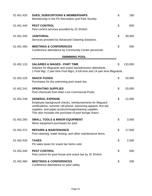| 01.451.420 | <b>DUES, SUBSCRITIONS &amp; MEMBERSHIPS</b><br>Membership in the PA Recreation and Park Society.                                                                                                                                                                       | $\mathfrak{S}$ | 160     |
|------------|------------------------------------------------------------------------------------------------------------------------------------------------------------------------------------------------------------------------------------------------------------------------|----------------|---------|
| 01.451.440 | <b>PEST CONTROL</b><br>Pest control services provided by JC Ehrlich.                                                                                                                                                                                                   | \$             | 600     |
| 01.451.445 | <b>JANITORIAL</b><br>Services provided by Advanced Cleaning Solutions.                                                                                                                                                                                                 | \$             | 30,000  |
| 01.451.460 | <b>MEETINGS &amp; CONFERENCES</b><br>Conference attendance by Community Center personnel.                                                                                                                                                                              | \$             | 500     |
|            | <b>SWIMMING POOL</b>                                                                                                                                                                                                                                                   |                |         |
| 01.452.115 | <b>SALARIES &amp; WAGES - PART TIME</b><br>Salaries for lifeguards and snack bar/admission attendants.<br>1 Pool Mgr, 2 part time Pool Mgrs, 8 full time and 14 part time lifeguards.                                                                                  | \$             | 133,000 |
| 01.452.229 | <b>SNACK FOODS</b><br>Purchases for the swimming pool snack bar.                                                                                                                                                                                                       | \$             | 20,000  |
| 01.452.241 | <b>OPERATING SUPPLIES</b><br>Pool chemicals from Main Line Commercial Pools.                                                                                                                                                                                           | \$             | 20,000  |
| 01.452.249 | <b>GENERAL EXPENSE</b><br>Employee background checks, reimbursements for lifeguard<br>certifications, summer cell phone, swimming apparel, first aid<br>supplies, and paper products/soap/cleaning supplies.<br>This also includes the purchase of pool lounge chairs. | \$             | 12,000  |
| 01.452.260 | <b>SMALL TOOLS &amp; MINOR EQUIPMENT</b><br>Minor equipment purchases for pool.                                                                                                                                                                                        | \$             | 3,000   |
| 01.452.372 | <b>REPAIRS &amp; MAINTENANCE</b><br>Pool cleaning, water testing, and other maintenance items.                                                                                                                                                                         | \$             | 17,500  |
| 01.452.430 | <b>TAXES</b><br>PA sales taxes for snack bar items sold.                                                                                                                                                                                                               | \$             | 2,000   |
| 01.452.440 | <b>PEST CONTROL</b><br>Pest control for pool house and snack bar by JC Ehrlich.                                                                                                                                                                                        | \$             | 500     |
| 01.452.460 | <b>MEETINGS &amp; CONFERENCES</b><br>Conference attendance on pool safety                                                                                                                                                                                              | \$             | 200     |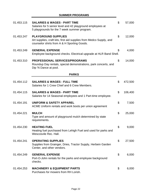# **SUMMER PROGRAMS**

| 01.453.115 | <b>SALARIES &amp; WAGES - PART TIME</b><br>Salaries for 5 senior level and 42 playground employees at<br>5 playgrounds for the 7 week summer program. | $\mathfrak{S}$ | 57,000  |
|------------|-------------------------------------------------------------------------------------------------------------------------------------------------------|----------------|---------|
| 01.453.247 | <b>PLAYGROUND SUPPLIES</b><br>Art supplies, craft kits, first aid supplies from Medco Supply, and<br>counselor shirts from A & H Sporting Goods.      | \$             | 12,000  |
| 01.453.249 | <b>GENERAL EXPENSE</b><br>Employee background checks. Electrical upgrade at HLR Band Shell.                                                           | S              | 4,000   |
| 01.453.310 | <b>PROFESSIONAL SERVICES/PROGRAMS</b><br>Roundup Day rentals, special demonstrations, park concerts, and<br>Dip 'N Dance at pool.                     | \$             | 14,000  |
|            | <b>PARKS</b>                                                                                                                                          |                |         |
| 01.454.112 | <b>SALARIES &amp; WAGES - FULL TIME</b><br>Salaries for 1 Crew Chief and 6 Crew Members.                                                              | \$             | 472,500 |
| 01.454.115 | <b>SALARIES &amp; WAGES - PART TIME</b><br>Salaries for 14 Seasonal employees and 1 Part-time employee.                                               | \$             | 106,400 |
| 01.454.191 | <b>UNIFORM &amp; SAFETY APPAREL</b><br>ACME Uniform rentals and work boots per union agreement                                                        | \$             | 7,500   |
| 01.454.221 | <b>MULCH</b><br>Type and amount of playground mulch determined by state<br>requirements.                                                              | \$             | 25,000  |
| 01.454.230 | <b>HEATING FUEL</b><br>Heating fuel purchased from Lehigh Fuel and used for parks and<br>Wescosvile Rec. Hall.                                        | \$             | 9,000   |
| 01.454.241 | <b>OPERATING SUPPLIES</b><br>Supplies from Grainger, Dries, Tractor Supply, Herbein Garden<br>Center, and other vendors.                              | \$             | 27,500  |
| 01.454.249 | <b>GENERAL EXPENSE</b><br>Port-O-John rentals for the parks and employee background<br>checks.                                                        | \$             | 6,000   |
| 01.454.253 | <b>MACHINERY &amp; EQUIPMENT PARTS</b><br>Purchases for mowers from RH Lorish.                                                                        | \$             | 6,000   |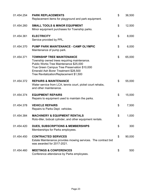| 01.454.254 | <b>PARK REPLACEMENTS</b><br>Replacement items for playground and park equipment.                                                                                                                                                                             | \$<br>36,500 |
|------------|--------------------------------------------------------------------------------------------------------------------------------------------------------------------------------------------------------------------------------------------------------------|--------------|
| 01.454.260 | <b>SMALL TOOLS &amp; MINOR EQUIPMENT</b><br>Minor equipment purchases for Township parks.                                                                                                                                                                    | \$<br>12,500 |
| 01.454.361 | <b>ELECTRICITY</b><br>Service provided by PPL.                                                                                                                                                                                                               | \$<br>8,000  |
| 01.454.370 | PUMP PARK MAINTENANCE - CAMP OLYMPIC<br>Maintenance of pump park.                                                                                                                                                                                            | \$<br>6,000  |
| 01.454.371 | <b>TOWNSHIP TREE MAINTENANCE</b><br>Township owned trees requiring maintenance.<br>Public Works Tree Maintenance \$25,000<br>True Green Campus Tree Preservation \$10,000<br>Emerald Ash Borer Treatment \$28,500<br>Tree Revitalization/Replacement \$1,500 | \$<br>65,000 |
| 01.454.372 | <b>REPAIRS &amp; MAINTENANCE</b><br>Water service from LCA, tennis court, pickel court rehabs,<br>and other maintenance.                                                                                                                                     | \$<br>55,000 |
| 01.454.374 | <b>EQUIPMENT REPAIRS</b><br>Repairs to equipment used to maintain the parks.                                                                                                                                                                                 | \$<br>15,000 |
| 01.454.378 | <b>VEHICLE REPAIRS</b><br>Repairs to Parks Dept. vehicles.                                                                                                                                                                                                   | \$<br>7,500  |
| 01.454.384 | <b>MACHINERY &amp; EQUIPMENT RENTALS</b><br>Roto-tiller, bobcat cylinder, and other equipment rentals.                                                                                                                                                       | \$<br>1,000  |
| 01.454.420 | <b>DUES, SUBSCRIPTIONS &amp; MEMBERSHIPS</b><br>Memberships for Parks employees.                                                                                                                                                                             | \$<br>300    |
| 01.454.450 | <b>CONTRACTED SERVICES</b><br>Estate Maintenance provides mowing services. The contract bid<br>was awarded for 2017-2021.                                                                                                                                    | \$<br>90,000 |
| 01.454.460 | <b>MEETINGS &amp; CONFERENCES</b><br>Conference attendance by Parks employees.                                                                                                                                                                               | \$<br>500    |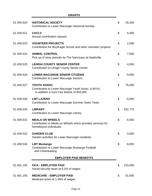| 01.459.520 | <b>HISTORICAL SOCIETY</b><br>Contribution to Lower Macungie Historical Society.                                 | $\mathfrak{S}$ | 29,200  |
|------------|-----------------------------------------------------------------------------------------------------------------|----------------|---------|
| 01.459.521 | <b>CACLV</b><br>Annual contribution request.                                                                    | \$             | 5,000   |
| 01.459.523 | <b>VOUNTEER PROJECTS</b><br>Contribution for Boy/Eagle Scouts and other volunteer projects.                     | \$             | 2,000   |
| 01.459.524 | <b>ANIMAL CONTROL</b><br>Pick up of stray animals by The Sanctuary at Haafsville.                               | \$             | 7,000   |
| 01.459.525 | <b>LEHIGH COUNTY SENIOR CENTER</b><br>Contribution to Lehigh County Senior Center.                              | \$             | 4,000   |
| 01.459.526 | <b>LOWER MACUNGIE SENIOR CITIZENS</b><br>Contribution to Lower Macungie Seniors.                                | \$             | 9,000   |
| 01.459.527 | YOUTH ASSOC.<br>Contribution to Lower Macungie Youth Assoc. (LMYA).<br>In addition a Gym Fee Waiver of \$20,000 | \$             | 75,000  |
| 01.459.528 | <b>LMT LAZERS</b><br>Contribution to Lower Macungie Summer Swim Team.                                           | \$             | 6,000   |
| 01.459.530 | <b>LIBRARY</b><br>Contribution to Lower Macungie Library.                                                       | \$             | 532,775 |
| 01.459.531 | <b>MEALS ON WHEELS</b><br>Contribution to Meals on Wheels which provides services for<br>homebound individuals. | \$             | 6,500   |
| 01.459.532 | <b>GARDEN CLUB</b><br>Garden activities for Lower Macungie residents.                                           | \$             | 4,000   |
| 01.459.534 | <b>LMT Mustangs</b><br>Contribution to Lower Macungie Mustangs Football<br>and Cheerleading                     | \$             | 8,000   |
|            | <b>EMPLOYER PAID BENEFITS</b>                                                                                   |                |         |
| 01.481.192 | <b>FICA - EMPLOYER PAID</b><br>Social security taxes at 6.2% of wages.                                          | \$             | 215,000 |
| 01.481.193 | <b>MEDICARE - EMPLOYER PAID</b><br>Medicare taxes at 1.45% of wages.                                            | \$             | 51,000  |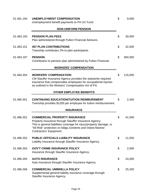| 01.481.194 | <b>UNEMPLOYMENT COMPENSATION</b><br>Unemployment benefit payments to PA UC Fund.                                                                                                                                                                               | \$<br>9,000   |
|------------|----------------------------------------------------------------------------------------------------------------------------------------------------------------------------------------------------------------------------------------------------------------|---------------|
|            | <b>NON-UNIFORM PENSION</b>                                                                                                                                                                                                                                     |               |
| 01.483.150 | <b>PENSION PLAN FEES</b><br>Plan administered through Fulton Financial Advisors.                                                                                                                                                                               | \$<br>30,000  |
| 01.483.151 | <b>457 PLAN CONTRIBUTIONS</b><br>Township contributes 2% to plan participants.                                                                                                                                                                                 | \$<br>42,000  |
| 01.483.197 | <b>PENSION</b><br>Contribution to pension plan administered by Fulton Financial.                                                                                                                                                                               | \$<br>394,000 |
|            | <b>WORKERS' COMPENSATION</b>                                                                                                                                                                                                                                   |               |
| 01.484.354 | <b>WORKERS' COMPENSATION</b><br>CM Stauffer Insurance Agency provides the statutorily required<br>insurance that compensates employees for occupational injuries<br>as outlined in the Workers' Compensation Act of PA.                                        | \$<br>115,000 |
|            | <b>OTHER EMPLOYEE BENEFITS</b>                                                                                                                                                                                                                                 |               |
| 01.485.301 | <b>CONTINUING EDUCATION/TUITION REIMBURSMENT</b><br>Township provides \$1200 per employee for tuition reimbursement.                                                                                                                                           | \$<br>2,400   |
|            | <b>INSURANCE</b>                                                                                                                                                                                                                                               |               |
| 01.486.351 | <b>COMMERCIAL PROPERTY INSURANCE</b><br>Property Insurance through Stauffer Insurance Agency.<br>This is general liabilities coverage for injury/property damage, or<br>"All Risk" protection on bldgs./contents and Inland Marine/<br>Contractors' Equipment. | \$<br>41,000  |
| 01.486.352 | <b>PUBLIC OFFICIALS LIABILITY INSURANCE</b><br>Liability Insurance through Stauffer Insurance Agency.                                                                                                                                                          | \$<br>11,550  |
| 01.486.353 | <b>GOV'T CRIME INSURANCE POLICY</b><br>Insurance through Stauffer Insurance Agency.                                                                                                                                                                            | \$<br>2,000   |
| 01.486.355 | <b>AUTO INSURANCE</b><br>Auto Insurance through Stauffer Insurance Agency.                                                                                                                                                                                     | \$<br>24,000  |
| 01.486.356 | <b>COMMERCIAL UMBRELLA POLICY</b><br>Supplemental general liability insurance coverage through<br>Stauffer Insurance Agency.                                                                                                                                   | \$<br>25,200  |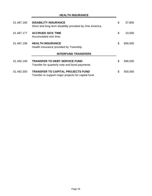| 01.487.160 | <b>DISABILITY INSURANCE</b><br>Short and long term disability provided by One America.           | \$<br>37,800  |
|------------|--------------------------------------------------------------------------------------------------|---------------|
| 01.487.177 | <b>ACCRUED SICK TIME</b><br>Accumulated sick time.                                               | \$<br>10,000  |
| 01.487.196 | <b>HEALTH INSURANCE</b><br>Health Insurance provided by Township.                                | \$<br>656,000 |
|            | <b>INTERFUND TRANSFERS</b>                                                                       |               |
| 01.492.190 | <b>TRANSFER TO DEBT SERVICE FUND</b><br>Transfer for quarterly note and bond payments.           | \$<br>596,000 |
| 01.492.300 | <b>TRANSFER TO CAPITAL PROJECTS FUND</b><br>Transfer to support major projects for capital fund. | \$<br>500,000 |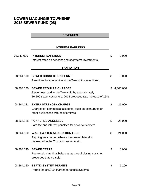# **LOWER MACUNGIE TOWNSHIP 2018 SEWER FUND (08)**

# **REVENUES**

# **INTEREST EARNINGS**

| 08.341.000 | <b>INTEREST EARNINGS</b>                                                                                                                        | \$<br>2,000     |
|------------|-------------------------------------------------------------------------------------------------------------------------------------------------|-----------------|
|            | Interest rates on deposits and short term investments.                                                                                          |                 |
|            | <b>SANITATION</b>                                                                                                                               |                 |
| 08.364.110 | <b>SEWER CONNECTION PERMIT</b><br>Permit fee for connection to the Township sewer lines.                                                        | \$<br>6,000     |
| 08.364.120 | <b>SEWER REGULAR CHARGES</b><br>Sewer fees paid to the Township by approximately<br>10,200 sewer customers. 2018 proposed rate increase of 15%. | \$<br>4,300,000 |
| 08.364.121 | <b>EXTRA STRENGTH CHARGE</b><br>Charges for commercial accounts, such as restaurants or<br>other businesses with heavier flows.                 | \$<br>21,000    |
| 08.364.125 | <b>PENALTIES ASSESSED</b><br>Late fee and interest penalties for sewer customers.                                                               | \$<br>25,000    |
| 08.364.130 | <b>WASTEWATER ALLOCATION FEES</b><br>Tapping fee charged when a new sewer lateral is<br>connected to the Township sewer main.                   | \$<br>24,000    |
| 08.364.140 | <b>SEWER CERTS</b><br>Fee to calculate final balances as part of closing costs for<br>properties that are sold.                                 | \$<br>8,000     |
| 08.364.150 | <b>SEPTIC SYSTEM PERMITS</b><br>Permit fee of \$100 charged for septic systems                                                                  | \$<br>1,200     |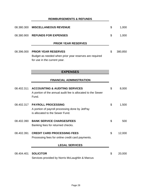|            | <b>REIMBURSEMENTS &amp; REFUNDS</b>                                                                                  |               |
|------------|----------------------------------------------------------------------------------------------------------------------|---------------|
| 08.380.300 | <b>MISCELLANEOUS REVENUE</b>                                                                                         | \$<br>1,000   |
| 08.380.900 | <b>REFUNDS FOR EXPENSES</b>                                                                                          | \$<br>1,000   |
|            | <b>PRIOR YEAR RESERVES</b>                                                                                           |               |
| 08.396.000 | <b>PRIOR YEAR RESERVES</b><br>Budget as needed when prior year reserves are required<br>for use in the current year. | \$<br>380,850 |
|            | <b>EXPENSES</b>                                                                                                      |               |
|            | <b>FINANCIAL ADMINISTRATION</b>                                                                                      |               |
| 08.402.311 | <b>ACCOUNTING &amp; AUDITING SERVICES</b><br>A portion of the annual audit fee is allocated to the Sewer<br>Fund.    | \$<br>8,000   |
| 08.402.317 | <b>PAYROLL PROCESSING</b><br>A portion of payroll processing done by JetPay<br>is allocated to the Sewer Fund.       | \$<br>1,500   |
| 08.402.390 | <b>BANK SERVICE CHARGES/FEES</b><br>Banking fees for returned checks.                                                | \$<br>500     |
| 08.402.391 | <b>CREDIT CARD PROCESSING FEES</b><br>Processing fees for online credit card payments.                               | \$<br>12,000  |
|            | <b>LEGAL SERVICES</b>                                                                                                |               |
| 08.404.401 | <b>SOLICITOR</b><br>Services provided by Norris McLaughlin & Marcus                                                  | \$<br>20,000  |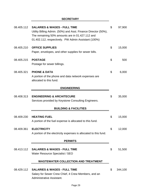# **SECRETARY**

| 08.405.112 | <b>SALARIES &amp; WAGES - FULL TIME</b><br>Utility Billing Admin. (50%) and Asst. Finance Director (50%),<br>The remaining 50% amounts are in 01.427.112 and<br>01.402.112, respectively. PW Admin Assistant (100%) | \$<br>97,900  |
|------------|---------------------------------------------------------------------------------------------------------------------------------------------------------------------------------------------------------------------|---------------|
| 08.405.210 | <b>OFFICE SUPPLIES</b><br>Paper, envelopes, and other supplies for sewer bills.                                                                                                                                     | \$<br>15,000  |
| 08.405.215 | <b>POSTAGE</b><br>Postage for sewer billings.                                                                                                                                                                       | \$<br>500     |
| 08.405.321 | <b>PHONE &amp; DATA</b><br>A portion of the phone and data network expenses are<br>allocated to this fund.                                                                                                          | \$<br>6,000   |
|            | <b>ENGINEERING</b>                                                                                                                                                                                                  |               |
| 08.408.313 | <b>ENGINEERING &amp; ARCHITECURE</b><br>Services provided by Keystone Consulting Engineers.                                                                                                                         | \$<br>35,000  |
|            | <b>BUILDING &amp; FACILITIES</b>                                                                                                                                                                                    |               |
| 08.409.230 | <b>HEATING FUEL</b><br>A portion of the fuel expense is allocated to this fund.                                                                                                                                     | \$<br>15,000  |
| 08.409.361 | <b>ELECTRICITY</b><br>A portion of the electricity expenses is allocated to this fund.                                                                                                                              | \$<br>12,000  |
|            | <b>PERMITS</b>                                                                                                                                                                                                      |               |
| 08.413.112 | <b>SALARIES &amp; WAGES - FULL TIME</b><br>Water Resource Specialist / SEO                                                                                                                                          | \$<br>51,500  |
|            | <b>WASTEWATER COLLECTION AND TREATMENT</b>                                                                                                                                                                          |               |
| 08.429.112 | <b>SALARIES &amp; WAGES - FULL TIME</b><br>Salary for Sewer Crew Chief, 4 Crew Members, and an<br>Administrative Assistant.                                                                                         | \$<br>344,100 |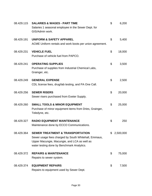| 08.429.115 | <b>SALARIES &amp; WAGES - PART TIME</b><br>Salaries 1 seasonal employee in the Sewer Dept. for<br>GIS/Admin work.                                                                                 | \$                        | 6,200     |
|------------|---------------------------------------------------------------------------------------------------------------------------------------------------------------------------------------------------|---------------------------|-----------|
| 08.429.191 | <b>UNIFORM &amp; SAFETY APPAREL</b><br>ACME Uniform rentals and work boots per union agreement.                                                                                                   | \$                        | 5,400     |
| 08.429.231 | <b>VEHICLE FUEL</b><br>Purchase of vehicle fuel from PAPCO.                                                                                                                                       | \$                        | 18,000    |
| 08.429.241 | <b>OPERATING SUPPLIES</b><br>Purchase of supplies from Industrial Chemical Labs,<br>Grainger, etc.                                                                                                | \$                        | 3,500     |
| 08.429.249 | <b>GENERAL EXPENSE</b><br>CDL license fees, drug/lab testing, and PA One Call.                                                                                                                    | \$                        | 2,500     |
| 08.429.256 | <b>SEWER RISERS</b><br>Sewer risers purchased from Exeter Supply.                                                                                                                                 | \$                        | 20,000    |
| 08.429.260 | <b>SMALL TOOLS &amp; MINOR EQUIPMENT</b><br>Purchase of minor equipment items from Dries, Grainger,<br>Teledyne, etc.                                                                             | $\boldsymbol{\mathsf{S}}$ | 25,000    |
| 08.429.327 | <b>RADIO EQUIPMENT MAINTENANCE</b><br>Maintenance done by ECCO Communications.                                                                                                                    | \$                        | 250       |
| 08.429.364 | <b>SEWER TREATMENT &amp; TRANSPORTATION</b><br>Sewer usage fees charged by South Whitehall, Emmaus,<br>Upper Macungie, Macungie, and LCA as well as<br>water testing done by Benchmark Analytics. | \$                        | 2,500,000 |
| 08.429.372 | <b>REPAIRS &amp; MAINTENANCE</b><br>Repairs to sewer system.                                                                                                                                      | \$                        | 75,000    |
| 08.429.374 | <b>EQUIPMENT REPAIRS</b><br>Repairs to equipment used by Sewer Dept.                                                                                                                              | \$                        | 7,500     |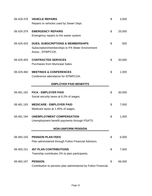| 25,000<br>500<br>30,000<br>1,000 |
|----------------------------------|
|                                  |
|                                  |
|                                  |
|                                  |
|                                  |
|                                  |
|                                  |
|                                  |
|                                  |
|                                  |
|                                  |
|                                  |
| 30,000                           |
|                                  |
| 7,000                            |
|                                  |
|                                  |
| 1,000                            |
|                                  |
|                                  |
|                                  |
| 6,000                            |
|                                  |
| 7,500                            |
|                                  |
|                                  |
| 66,000                           |
|                                  |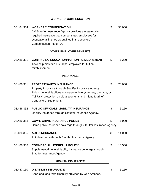# **WORKERS' COMPENSATION**

| 08.484.354 | <b>WORKERS' COMPENSATION</b><br>CM Stauffer Insurance Agency provides the statutorily<br>required insurance that compensates employees for<br>occupational injuries as outlined in the Workers'<br>Compensation Act of PA.                               | \$<br>90,000 |
|------------|----------------------------------------------------------------------------------------------------------------------------------------------------------------------------------------------------------------------------------------------------------|--------------|
|            | <b>OTHER EMPLOYEE BENEFITS</b>                                                                                                                                                                                                                           |              |
| 08.485.301 | <b>CONTINUING EDUCATION/TUITION REIMBURSMENT</b><br>Township provides \$1200 per employee for tuition<br>reimbursement.                                                                                                                                  | \$<br>1,200  |
|            | <b>INSURANCE</b>                                                                                                                                                                                                                                         |              |
| 08.486.351 | <b>PROPERTY/AUTO INSURANCE</b><br>Property Insurance through Stauffer Insurance Agency.<br>This is general liabilities coverage for injury/property damage, or<br>"All Risk" protection on bldgs./contents and Inland Marine/<br>Contractors' Equipment. | \$<br>23,000 |
| 08.486.352 | <b>PUBLIC OFFICIALS LIABILITY INSURANCE</b><br>Liability Insurance through Stauffer Insurance Agency.                                                                                                                                                    | \$<br>5,250  |
| 08.486.353 | <b>GOV'T. CRIME INSURANCE POLICY</b><br>Crime policy insurance coverage through Stauffer Insurance Agency.                                                                                                                                               | \$<br>1,000  |
| 08.486.355 | <b>AUTO INSURANCE</b><br>Auto Insurance through Stauffer Insurance Agency.                                                                                                                                                                               | \$<br>14,000 |
| 08.486.356 | <b>COMMERCIAL UMBRELLA POLICY</b><br>Supplemental general liability insurance coverage through<br>Stauffer Insurance Agency.                                                                                                                             | \$<br>10,500 |
|            | <b>HEALTH INSURANCE</b>                                                                                                                                                                                                                                  |              |
| 08.487.160 | <b>DISABILITY INSURANCE</b><br>Short and long term disability provided by One America.                                                                                                                                                                   | \$<br>5,250  |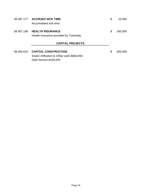|            | 08.487.177 ACCRUED SICK TIME<br>Accumulated sick time.                                              | \$<br>10,000  |
|------------|-----------------------------------------------------------------------------------------------------|---------------|
| 08.487.196 | <b>HEALTH INSURANCE</b><br>Health Insurance provided by Township.                                   | \$<br>350,000 |
|            | <b>CAPITAL PROJECTS</b>                                                                             |               |
| 08.493.610 | <b>CAPITAL CONSTRUCTION</b><br>Sewer Infiltration & Inflow work \$650,000<br>Debt Service \$150,000 | \$<br>800,000 |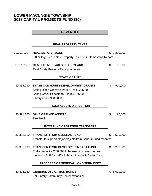# **LOWER MACUNGIE TOWNSHIP 2018 CAPITAL PROJECTS FUND (30)**

# **REVENUES**

# **REAL PROPERTY TAXES**

| 30.301.100 | <b>REAL ESTATE TAXES</b>                                                                                                                                               | \$<br>1,200,000 |
|------------|------------------------------------------------------------------------------------------------------------------------------------------------------------------------|-----------------|
|            | .50 millage Real Estate Property Tax & 50% Homestead Rebate.                                                                                                           |                 |
| 30.301.200 | <b>REAL ESTATE TAXES PRIOR YEARS</b>                                                                                                                                   | \$<br>10,000    |
|            | Real Estate Property Tax - prior years                                                                                                                                 |                 |
|            | <b>STATE GRANTS</b>                                                                                                                                                    |                 |
| 30.354.090 | <b>STATE COMMUNITY DEVELOPMENT GRANTS</b><br>Spring Ridge Crossing Park & Trail \$225,000                                                                              | \$<br>900,000   |
|            | Spring Creek Pedestrian Bridge \$175,000<br>Library Grant \$500,000                                                                                                    |                 |
|            | <b>FIXED ASSETS DISPOSITION</b>                                                                                                                                        |                 |
| 30.391.100 | <b>SALE OF FIXED ASSETS</b><br><b>Fire Truck</b>                                                                                                                       | \$<br>120,000   |
|            | <b>INTERFUND OPERATING TRANSFERS</b>                                                                                                                                   |                 |
| 30.392.010 | <b>TRANSFER FROM GENERAL FUND</b><br>Transfer to support major projects from General Fund reserves.                                                                    | \$<br>500,000   |
| 30.392.190 | <b>TRANSFER FROM DEVELOPER IMPACT FUND</b><br>Traffic Impact - \$200,000 to be used in conjunction with<br>monies in SLF for trafffic light at Minesite & Cedar Crest. | \$<br>200,000   |
|            | PROCEEDS OF GENERAL LONG TERM DEBT                                                                                                                                     |                 |
| 30.393.120 | <b>GENERAL OBLIGATION BONDS</b>                                                                                                                                        | \$<br>6,000,000 |

For Library/Community Center expansion.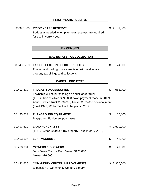# **PRIOR YEARS RESERVE**

| 30.396.000 | <b>PRIOR YEARS RESERVE</b>                                   | \$2,181,800     |
|------------|--------------------------------------------------------------|-----------------|
|            | Budget as needed when prior year reserves are required       |                 |
|            | for use in current year.                                     |                 |
|            |                                                              |                 |
|            |                                                              |                 |
|            | <b>EXPENSES</b>                                              |                 |
|            | <b>REAL ESTATE TAX COLLECTION</b>                            |                 |
| 30.403.210 | <b>TAX COLLECTION OFFICE SUPPLIES</b>                        | \$<br>24,300    |
|            |                                                              |                 |
|            | Printing and mailing costs associated with real estate       |                 |
|            | property tax billings and collections.                       |                 |
|            | <b>CAPITAL PROJECTS</b>                                      |                 |
| 30.493.319 | <b>TRUCKS &amp; ACCESSORIES</b>                              | \$<br>965,000   |
|            | Township will be purchasing an aerial ladder truck.          |                 |
|            | (\$1.3 million of which \$690,000 down payment made in 2017) |                 |
|            | Aerial Ladder Truck \$590,000, Tanker \$375,000 downpayment  |                 |
|            | (Final \$375,000 for Tanker to be paid in 2019)              |                 |
|            |                                                              |                 |
| 30.493.617 | <b>PLAYGROUND EQUIPMENT</b>                                  | \$<br>100,000   |
|            | Playground Equipment purchases                               |                 |
|            |                                                              |                 |
| 30.493.620 | <b>LAND PURCHASES</b>                                        | \$<br>1,600,000 |
|            | (\$150,000 for 50 acre Kirby property - due in early 2018)   |                 |
| 30.493.626 | <b>LEAF VACUUMS</b>                                          | \$<br>48,000    |
|            |                                                              |                 |
| 30.493.631 | <b>MOWERS &amp; BLOWERS</b>                                  | \$<br>141,500   |
|            | John Deere Tractor Field Mower \$125,000                     |                 |
|            | Mower \$16,500                                               |                 |
| 30.493.635 | <b>COMMUNITY CENTER IMPROVEMENTS</b>                         | \$5,900,000     |
|            | Expansion of Community Center / Library                      |                 |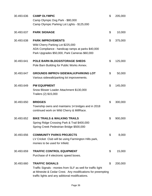| 30.493.636 | <b>CAMP OLYMPIC</b><br>Camp Olympic Dog Park - \$80,000<br>Camp Olympic Parking Lot Lights - \$125,000                                                                                                   | \$<br>205,000 |
|------------|----------------------------------------------------------------------------------------------------------------------------------------------------------------------------------------------------------|---------------|
| 30.493.637 | <b>PARK SIGNAGE</b>                                                                                                                                                                                      | \$<br>10,000  |
| 30.493.638 | <b>PARK IMPROVEMENTS</b><br>Wild Cherry Parking Lot \$225,000<br>ADA Compliance - handicap ramps at parks \$40,000<br>Park Upgrades \$50,000, Park Cameras \$60,000                                      | \$<br>375,000 |
| 30.493.641 | <b>POLE BARN BLDGS/STORAGE SHEDS</b><br>Pole Barn Building for Public Works Annex.                                                                                                                       | \$<br>125,000 |
| 30.493.647 | <b>GROUNDS IMPROV-SIDEWALK/PARKING LOT</b><br>Various sidewalk/parking lot improvements.                                                                                                                 | \$<br>50,000  |
| 30.493.649 | <b>PW EQUIPMENT</b><br>Snow Blower Loader Attachment \$130,000<br>Trailers (2) \$15,000                                                                                                                  | \$<br>145,000 |
| 30.493.650 | <b>BRIDGES</b><br>Township owns and maintains 14 bridges and in 2018<br>continued work on Wild Cherry & MillRace.                                                                                        | \$<br>300,000 |
| 30.493.652 | <b>BIKE TRAILS &amp; WALKING TRAILS</b><br>Spring Ridge Crossing Park & Trail \$400,000<br>Spring Creek Pedestrian Bridge \$500,000                                                                      | \$<br>900,000 |
| 30.493.656 | <b>COMMUNITY PARKS PROJECTS</b><br>LV Cricket Club will be using Farmington Hills park,<br>monies to be used for Infield.                                                                                | \$<br>8,000   |
| 30.493.659 | <b>TRAFFIC CONTROL EQUIPMENT</b><br>Purchase of 4 electronic speed boxes.                                                                                                                                | \$<br>15,000  |
| 30.493.660 | <b>TRAFFIC SIGNALS</b><br>Traffic Signals - monies from SLF as well for traffic light<br>at Minesite & Cedar Crest. Any modifications for preempting<br>traffic lights and any adiitional modifications. | \$<br>200,000 |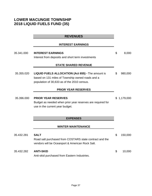# **LOWER MACUNGIE TOWNSHIP 2018 LIQUID FUELS FUND (35)**

|            | <b>REVENUES</b>                                                                                            |               |
|------------|------------------------------------------------------------------------------------------------------------|---------------|
|            | <b>INTEREST EARNINGS</b>                                                                                   |               |
| 35.341.000 | <b>INTEREST EARNINGS</b>                                                                                   | \$<br>8,000   |
|            | Interest from deposits and short term investments                                                          |               |
|            | <b>STATE SHARED REVENUE</b>                                                                                |               |
| 35.355.020 | <b>LIQUID FUELS ALLOCATION (Act 655) - The amount is</b>                                                   | \$<br>980,000 |
|            | based on 131 miles of Township owned roads and a                                                           |               |
|            | population of 30,633 as of the 2010 census.                                                                |               |
|            | <b>PRIOR YEAR RESERVES</b>                                                                                 |               |
| 35.396.000 | <b>PRIOR YEAR RESERVES</b>                                                                                 | \$1,179,000   |
|            | Budget as needed when prior year reserves are required for                                                 |               |
|            | use in the current year budget.                                                                            |               |
|            |                                                                                                            |               |
|            | <b>EXPENSES</b>                                                                                            |               |
|            | <b>WINTER MAINTENANCE</b>                                                                                  |               |
| 35.432.281 | <b>SALT</b>                                                                                                | \$<br>150,000 |
|            | Road salt purchased from COSTARS state contract and the<br>vendors will be Oceanport & American Rock Salt. |               |
| 35.432.282 | <b>ANTI-SKID</b>                                                                                           | \$<br>10,000  |
|            | Anti-skid purchased from Eastern Industries.                                                               |               |